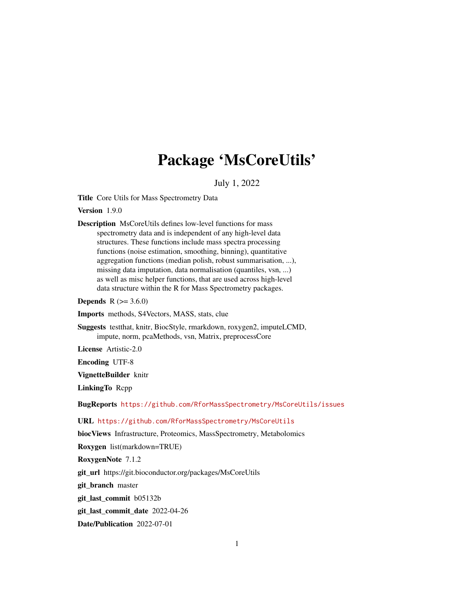# Package 'MsCoreUtils'

July 1, 2022

<span id="page-0-0"></span>Title Core Utils for Mass Spectrometry Data

Version 1.9.0

Description MsCoreUtils defines low-level functions for mass spectrometry data and is independent of any high-level data structures. These functions include mass spectra processing functions (noise estimation, smoothing, binning), quantitative aggregation functions (median polish, robust summarisation, ...), missing data imputation, data normalisation (quantiles, vsn, ...) as well as misc helper functions, that are used across high-level data structure within the R for Mass Spectrometry packages.

**Depends**  $R$  ( $> = 3.6.0$ )

Imports methods, S4Vectors, MASS, stats, clue

Suggests testthat, knitr, BiocStyle, rmarkdown, roxygen2, imputeLCMD, impute, norm, pcaMethods, vsn, Matrix, preprocessCore

License Artistic-2.0

Encoding UTF-8

VignetteBuilder knitr

LinkingTo Rcpp

BugReports <https://github.com/RforMassSpectrometry/MsCoreUtils/issues>

URL <https://github.com/RforMassSpectrometry/MsCoreUtils>

biocViews Infrastructure, Proteomics, MassSpectrometry, Metabolomics

Roxygen list(markdown=TRUE)

RoxygenNote 7.1.2

git\_url https://git.bioconductor.org/packages/MsCoreUtils

git\_branch master

git\_last\_commit b05132b

git\_last\_commit\_date 2022-04-26

Date/Publication 2022-07-01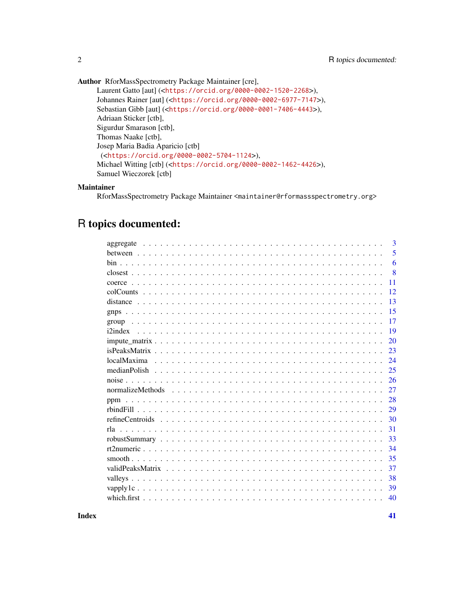Author RforMassSpectrometry Package Maintainer [cre], Laurent Gatto [aut] (<<https://orcid.org/0000-0002-1520-2268>>),

```
Johannes Rainer [aut] (<https://orcid.org/0000-0002-6977-7147>),
Sebastian Gibb [aut] (<https://orcid.org/0000-0001-7406-4443>),
Adriaan Sticker [ctb],
Sigurdur Smarason [ctb],
Thomas Naake [ctb],
Josep Maria Badia Aparicio [ctb]
 (<https://orcid.org/0000-0002-5704-1124>),
Michael Witting [ctb] (<https://orcid.org/0000-0002-1462-4426>),
Samuel Wieczorek [ctb]
```
## Maintainer

RforMassSpectrometry Package Maintainer <maintainer@rformassspectrometry.org>

## R topics documented:

|  | 3   |
|--|-----|
|  | 5   |
|  | 6   |
|  | -8  |
|  | 11  |
|  | 12. |
|  | 13  |
|  | 15  |
|  | 17  |
|  | 19  |
|  | 20  |
|  | 23  |
|  | 24  |
|  | 25  |
|  | 26  |
|  | 27  |
|  | 28  |
|  | 29  |
|  | 30  |
|  | 31  |
|  | 33  |
|  | 34  |
|  | 35  |
|  | 37  |
|  | 38  |
|  | 39  |
|  | 40  |
|  |     |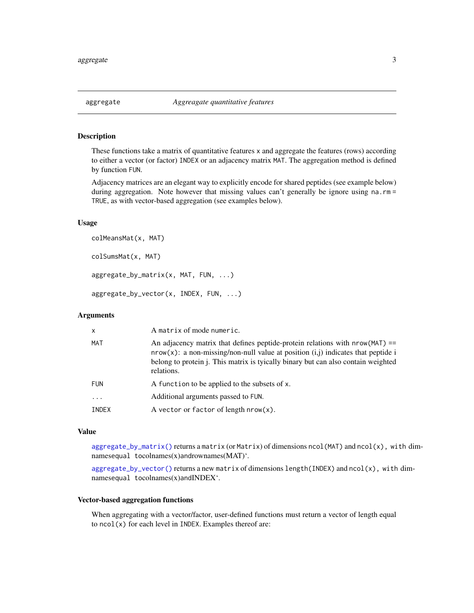<span id="page-2-2"></span><span id="page-2-1"></span><span id="page-2-0"></span>These functions take a matrix of quantitative features x and aggregate the features (rows) according to either a vector (or factor) INDEX or an adjacency matrix MAT. The aggregation method is defined by function FUN.

Adjacency matrices are an elegant way to explicitly encode for shared peptides (see example below) during aggregation. Note however that missing values can't generally be ignore using na.rm= TRUE, as with vector-based aggregation (see examples below).

#### Usage

```
colMeansMat(x, MAT)
colSumsMat(x, MAT)
aggregate_by_matrix(x, MAT, FUN, ...)
aggregate_by_vector(x, INDEX, FUN, ...)
```
## Arguments

| X          | A matrix of mode numeric.                                                                                                                                                                                                                                                   |
|------------|-----------------------------------------------------------------------------------------------------------------------------------------------------------------------------------------------------------------------------------------------------------------------------|
| MAT        | An adjacency matrix that defines peptide-protein relations with $nrow(MAT)$ ==<br>$nrow(x)$ : a non-missing/non-null value at position $(i, j)$ indicates that peptide i<br>belong to protein j. This matrix is tyically binary but can also contain weighted<br>relations. |
| <b>FUN</b> | A function to be applied to the subsets of x.                                                                                                                                                                                                                               |
| $\ddotsc$  | Additional arguments passed to FUN.                                                                                                                                                                                                                                         |
| INDEX      | A vector or factor of length $nrow(x)$ .                                                                                                                                                                                                                                    |

#### Value

[aggregate\\_by\\_matrix\(\)](#page-2-1) returns a matrix (or Matrix) of dimensions ncol(MAT) and ncol(x), with dimnamesequal tocolnames(x)andrownames(MAT)'.

[aggregate\\_by\\_vector\(\)](#page-2-1) returns a new matrix of dimensions length(INDEX) and ncol(x), with dimnamesequal tocolnames(x)andINDEX'.

#### Vector-based aggregation functions

When aggregating with a vector/factor, user-defined functions must return a vector of length equal to ncol(x) for each level in INDEX. Examples thereof are: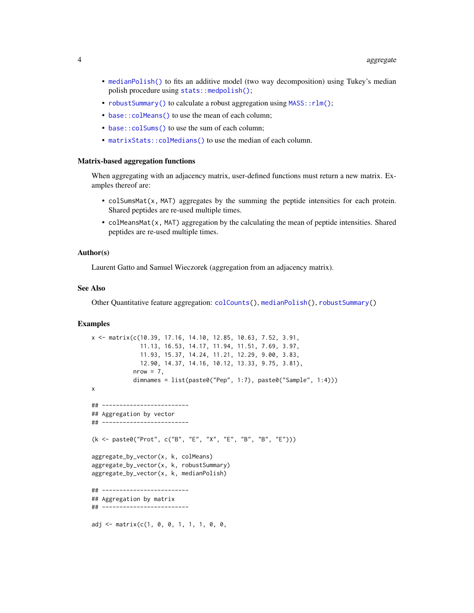- <span id="page-3-0"></span>• [medianPolish\(\)](#page-24-1) to fits an additive model (two way decomposition) using Tukey's median polish procedure using [stats::medpolish\(\)](#page-0-0);
- [robustSummary\(\)](#page-32-1) to calculate a robust aggregation using MASS:: rlm();
- base:: colMeans() to use the mean of each column;
- [base::colSums\(\)](#page-0-0) to use the sum of each column;
- matrixStats:: colMedians() to use the median of each column.

#### Matrix-based aggregation functions

When aggregating with an adjacency matrix, user-defined functions must return a new matrix. Examples thereof are:

- colSumsMat(x, MAT) aggregates by the summing the peptide intensities for each protein. Shared peptides are re-used multiple times.
- colMeansMat(x, MAT) aggregation by the calculating the mean of peptide intensities. Shared peptides are re-used multiple times.

#### Author(s)

Laurent Gatto and Samuel Wieczorek (aggregation from an adjacency matrix).

#### See Also

Other Quantitative feature aggregation: [colCounts\(](#page-11-1)), [medianPolish\(](#page-24-1)), [robustSummary\(](#page-32-1))

```
x <- matrix(c(10.39, 17.16, 14.10, 12.85, 10.63, 7.52, 3.91,
              11.13, 16.53, 14.17, 11.94, 11.51, 7.69, 3.97,
              11.93, 15.37, 14.24, 11.21, 12.29, 9.00, 3.83,
             12.90, 14.37, 14.16, 10.12, 13.33, 9.75, 3.81),
            nrow = 7,
            dimnames = list(paste0("Pep", 1:7), paste0("Sample", 1:4)))
x
## -------------------------
## Aggregation by vector
## -------------------------
(k <- paste0("Prot", c("B", "E", "X", "E", "B", "B", "E")))
aggregate_by_vector(x, k, colMeans)
aggregate_by_vector(x, k, robustSummary)
aggregate_by_vector(x, k, medianPolish)
## -------------------------
## Aggregation by matrix
## -------------------------
adj <- matrix(c(1, 0, 0, 1, 1, 1, 0, 0,
```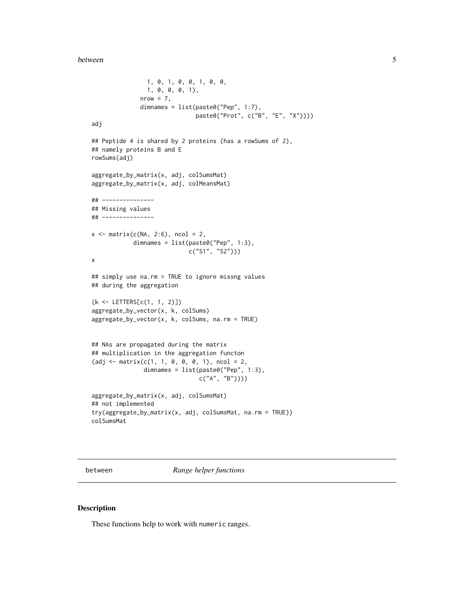```
1, 0, 1, 0, 0, 1, 0, 0,
                1, 0, 0, 0, 1),
              nrow = 7,
              dimnames = list(paste0("Pep", 1:7),
                              paste0("Prot", c("B", "E", "X"))))
adj
## Peptide 4 is shared by 2 proteins (has a rowSums of 2),
## namely proteins B and E
rowSums(adj)
aggregate_by_matrix(x, adj, colSumsMat)
aggregate_by_matrix(x, adj, colMeansMat)
## ---------------
## Missing values
## ---------------
x \le matrix(c(NA, 2:6), ncol = 2,
            dimnames = list(paste0("Pep", 1:3),
                            c("S1", "S2")))
x
## simply use na.rm = TRUE to ignore missng values
## during the aggregation
(k <- LETTERS[c(1, 1, 2)])
aggregate_by_vector(x, k, colSums)
aggregate_by_vector(x, k, colSums, na.rm = TRUE)
## NAs are propagated during the matrix
## multiplication in the aggregation functon
(adj \leftarrow matrix(c(1, 1, 0, 0, 0, 1), ncol = 2,dimnames = list(paste0("Pep", 1:3),
                               c("A", "B"))))aggregate_by_matrix(x, adj, colSumsMat)
## not implemented
try(aggregate_by_matrix(x, adj, colSumsMat, na.rm = TRUE))
colSumsMat
```
<span id="page-4-1"></span>between *Range helper functions*

#### Description

These functions help to work with numeric ranges.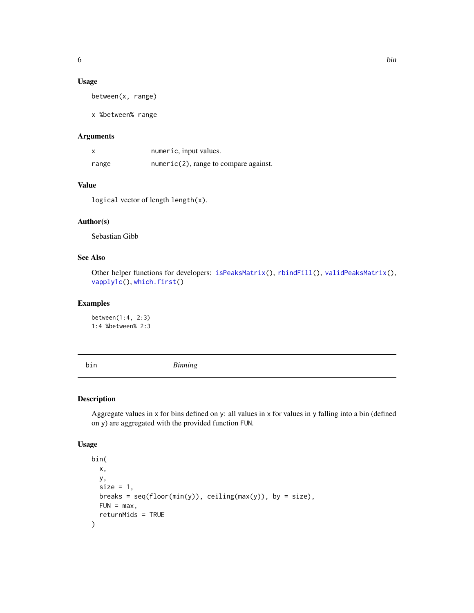## <span id="page-5-0"></span>Usage

between(x, range)

x %between% range

## Arguments

| X     | numeric, input values.                   |
|-------|------------------------------------------|
| range | $numeric(2)$ , range to compare against. |

## Value

logical vector of length length(x).

## Author(s)

Sebastian Gibb

## See Also

Other helper functions for developers: [isPeaksMatrix\(](#page-22-1)), [rbindFill\(](#page-28-1)), [validPeaksMatrix\(](#page-36-1)), [vapply1c\(](#page-38-1)), [which.first\(](#page-39-1))

## Examples

between(1:4, 2:3) 1:4 %between% 2:3

<span id="page-5-1"></span>bin *Binning*

## Description

Aggregate values in x for bins defined on y: all values in x for values in y falling into a bin (defined on y) are aggregated with the provided function FUN.

## Usage

```
bin(
  x,
 y,
  size = 1,
 breaks = seq(float(min(y)), ceiling(max(y)), by = size),FUN = max,returnMids = TRUE
\mathcal{E}
```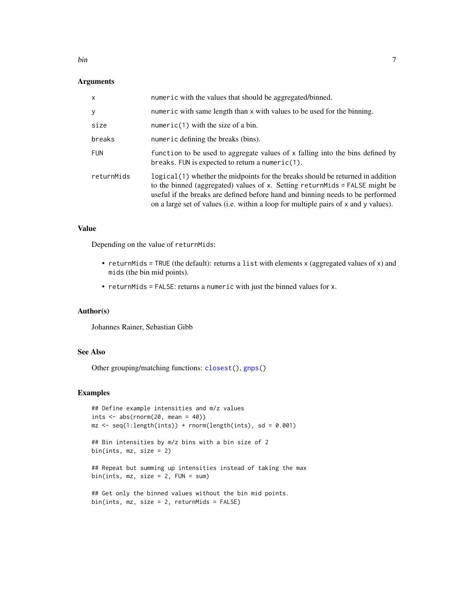#### <span id="page-6-0"></span>bin 7

## Arguments

| $\mathsf{x}$ | numeric with the values that should be aggregated/binned.                                                                                                                                                                                                                                                                                |
|--------------|------------------------------------------------------------------------------------------------------------------------------------------------------------------------------------------------------------------------------------------------------------------------------------------------------------------------------------------|
| y            | numeric with same length than x with values to be used for the binning.                                                                                                                                                                                                                                                                  |
| size         | $numeric(1)$ with the size of a bin.                                                                                                                                                                                                                                                                                                     |
| breaks       | numeric defining the breaks (bins).                                                                                                                                                                                                                                                                                                      |
| <b>FUN</b>   | function to be used to aggregate values of x falling into the bins defined by<br>breaks. FUN is expected to return a numeric $(1)$ .                                                                                                                                                                                                     |
| returnMids   | logical (1) whether the midpoints for the breaks should be returned in addition<br>to the binned (aggregated) values of x. Setting return Mids = FALSE might be<br>useful if the breaks are defined before hand and binning needs to be performed<br>on a large set of values (i.e. within a loop for multiple pairs of x and y values). |

#### Value

Depending on the value of returnMids:

- returnMids = TRUE (the default): returns a list with elements x (aggregated values of x) and mids (the bin mid points).
- returnMids = FALSE: returns a numeric with just the binned values for x.

## Author(s)

Johannes Rainer, Sebastian Gibb

## See Also

Other grouping/matching functions: [closest\(](#page-7-1)), [gnps\(](#page-14-1))

### Examples

```
## Define example intensities and m/z values
ints \leq abs(rnorm(20, mean = 40))
mz \leq seq(1:length(ints)) + rnorm(length(ints), sd = 0.001)
```
## Bin intensities by m/z bins with a bin size of 2 bin(ints, mz, size = 2)

## Repeat but summing up intensities instead of taking the max bin(ints,  $mz$ , size = 2, FUN = sum)

```
## Get only the binned values without the bin mid points.
bin(ints, mz, size = 2, returnMids = FALSE)
```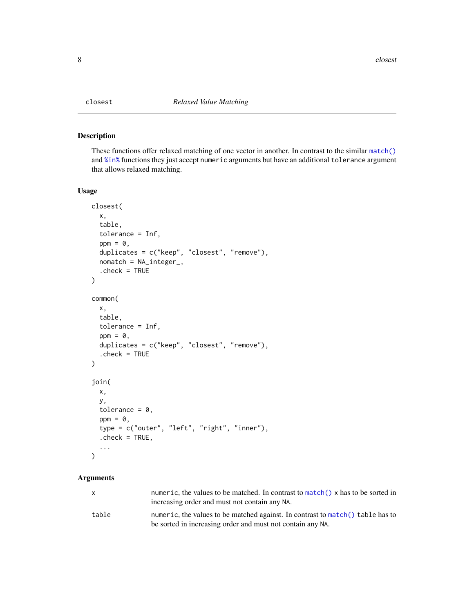<span id="page-7-2"></span><span id="page-7-1"></span><span id="page-7-0"></span>

These functions offer relaxed matching of one vector in another. In contrast to the similar [match\(\)](#page-0-0) and [%in%](#page-0-0) functions they just accept numeric arguments but have an additional tolerance argument that allows relaxed matching.

#### Usage

```
closest(
  x,
  table,
  tolerance = Inf,
  ppm = 0,
  duplicates = c("keep", "closest", "remove"),
  nomatch = NA_integer_,
  . check = TRUE
\mathcal{L}common(
  x,
  table,
  tolerance = Inf,
  ppm = 0,
  duplicates = c("keep", "closest", "remove"),
  . check = TRUE
\overline{)}join(
  x,
  y,
  tolerance = 0,
  ppm = 0,
  type = c("outer", "left", "right", "inner"),
  . check = TRUE,
  ...
\mathcal{L}
```
#### Arguments

| X     | numeric, the values to be matched. In contrast to match() x has to be sorted in<br>increasing order and must not contain any NA.             |
|-------|----------------------------------------------------------------------------------------------------------------------------------------------|
| table | numeric, the values to be matched against. In contrast to match() table has to<br>be sorted in increasing order and must not contain any NA. |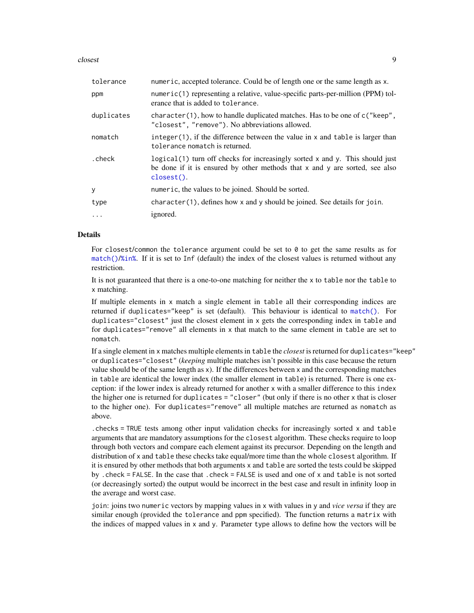#### <span id="page-8-0"></span>closest 99

| tolerance  | numeric, accepted tolerance. Could be of length one or the same length as x.                                                                                                             |
|------------|------------------------------------------------------------------------------------------------------------------------------------------------------------------------------------------|
| ppm        | numeric(1) representing a relative, value-specific parts-per-million (PPM) tol-<br>erance that is added to tolerance.                                                                    |
| duplicates | character $(1)$ , how to handle duplicated matches. Has to be one of $c$ ("keep",<br>"closest", "remove"). No abbreviations allowed.                                                     |
| nomatch    | $integer(1)$ , if the difference between the value in x and table is larger than<br>tolerance nomatch is returned.                                                                       |
| .check     | logical (1) turn off checks for increasingly sorted x and y. This should just<br>be done if it is ensured by other methods that $x$ and $y$ are sorted, see also<br>$\text{closest}()$ . |
| y          | numeric, the values to be joined. Should be sorted.                                                                                                                                      |
| type       | $character(1)$ , defines how x and y should be joined. See details for join.                                                                                                             |
| $\ddots$   | ignored.                                                                                                                                                                                 |

## Details

For closest/common the tolerance argument could be set to  $\theta$  to get the same results as for [match\(\)](#page-0-0)/[%in%](#page-0-0). If it is set to Inf (default) the index of the closest values is returned without any restriction.

It is not guaranteed that there is a one-to-one matching for neither the x to table nor the table to x matching.

If multiple elements in x match a single element in table all their corresponding indices are returned if duplicates="keep" is set (default). This behaviour is identical to [match\(\)](#page-0-0). For duplicates="closest" just the closest element in x gets the corresponding index in table and for duplicates="remove" all elements in x that match to the same element in table are set to nomatch.

If a single element in x matches multiple elements in table the *closest* is returned for duplicates="keep" or duplicates="closest" (*keeping* multiple matches isn't possible in this case because the return value should be of the same length as x). If the differences between x and the corresponding matches in table are identical the lower index (the smaller element in table) is returned. There is one exception: if the lower index is already returned for another x with a smaller difference to this index the higher one is returned for duplicates = "closer" (but only if there is no other x that is closer to the higher one). For duplicates="remove" all multiple matches are returned as nomatch as above.

.checks = TRUE tests among other input validation checks for increasingly sorted x and table arguments that are mandatory assumptions for the closest algorithm. These checks require to loop through both vectors and compare each element against its precursor. Depending on the length and distribution of x and table these checks take equal/more time than the whole closest algorithm. If it is ensured by other methods that both arguments x and table are sorted the tests could be skipped by .check = FALSE. In the case that .check = FALSE is used and one of x and table is not sorted (or decreasingly sorted) the output would be incorrect in the best case and result in infinity loop in the average and worst case.

join: joins two numeric vectors by mapping values in x with values in y and *vice versa* if they are similar enough (provided the tolerance and ppm specified). The function returns a matrix with the indices of mapped values in x and y. Parameter type allows to define how the vectors will be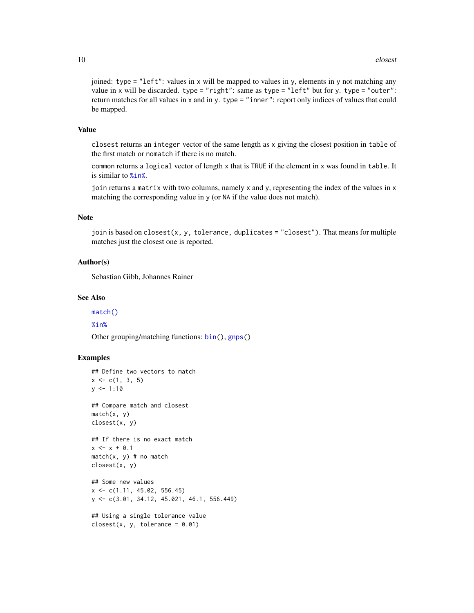joined: type = "left": values in x will be mapped to values in y, elements in y not matching any value in x will be discarded. type = "right": same as type = "left" but for y. type = "outer": return matches for all values in x and in y. type = "inner": report only indices of values that could be mapped.

#### Value

closest returns an integer vector of the same length as x giving the closest position in table of the first match or nomatch if there is no match.

common returns a logical vector of length x that is TRUE if the element in x was found in table. It is similar to [%in%](#page-0-0).

join returns a matrix with two columns, namely x and y, representing the index of the values in x matching the corresponding value in y (or NA if the value does not match).

## Note

join is based on closest(x, y, tolerance, duplicates = "closest"). That means for multiple matches just the closest one is reported.

#### Author(s)

Sebastian Gibb, Johannes Rainer

## See Also

#### [match\(\)](#page-0-0)

#### [%in%](#page-0-0)

Other grouping/matching functions: [bin\(](#page-5-1)), [gnps\(](#page-14-1))

```
## Define two vectors to match
x \leq c(1, 3, 5)y \le -1:10## Compare match and closest
match(x, y)
closest(x, y)
## If there is no exact match
x \le -x + 0.1match(x, y) # no match
closest(x, y)
## Some new values
```

```
x \leq -c(1.11, 45.02, 556.45)y <- c(3.01, 34.12, 45.021, 46.1, 556.449)
```

```
## Using a single tolerance value
closest(x, y, tolerance = 0.01)
```
<span id="page-9-0"></span>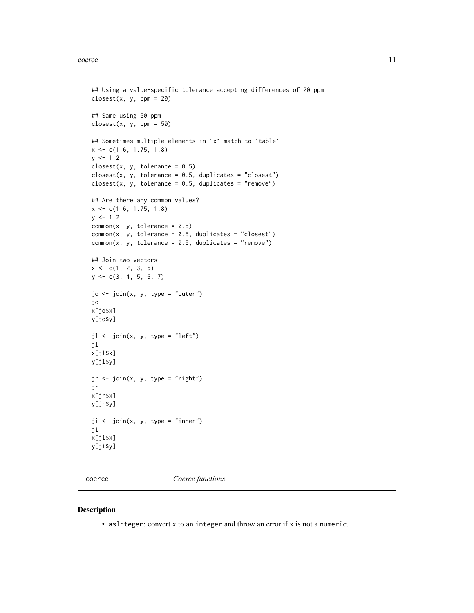#### <span id="page-10-0"></span>coerce and the coerce in the coerce in the coerce in the coerce in the coerce in the coerce in the coerce in the coerce in the coerce in the coerce in the coerce in the coerce in the coerce in the coerce in the coerce in t

```
## Using a value-specific tolerance accepting differences of 20 ppm
closest(x, y, ppm = 20)## Same using 50 ppm
closest(x, y, ppm = 50)## Sometimes multiple elements in `x` match to `table`
x \leq -c(1.6, 1.75, 1.8)y \le -1:2closest(x, y, tolerance = 0.5)
closest(x, y, tolerance = 0.5, duplicates = "closest")closest(x, y, tolerance = 0.5, duplicates = "remove")
## Are there any common values?
x <- c(1.6, 1.75, 1.8)
y \le -1:2common(x, y, tolerance = 0.5)common(x, y, tolerance = 0.5, duplicates = "closest")common(x, y, tolerance = 0.5, duplicates = "remove")## Join two vectors
x \leq -c(1, 2, 3, 6)y \leftarrow c(3, 4, 5, 6, 7)jo <- join(x, y, type = "outer")
jo
x[jo$x]
y[jo$y]
jl <- join(x, y, type = "left")
jl
x[jl$x]
y[jl$y]
jr <- join(x, y, type = "right")
jr
x[jr$x]
y[jr$y]
ji <- join(x, y, type = "inner")
ji
x[ji$x]
y[ji$y]
```
coerce *Coerce functions*

#### Description

• asInteger: convert x to an integer and throw an error if x is not a numeric.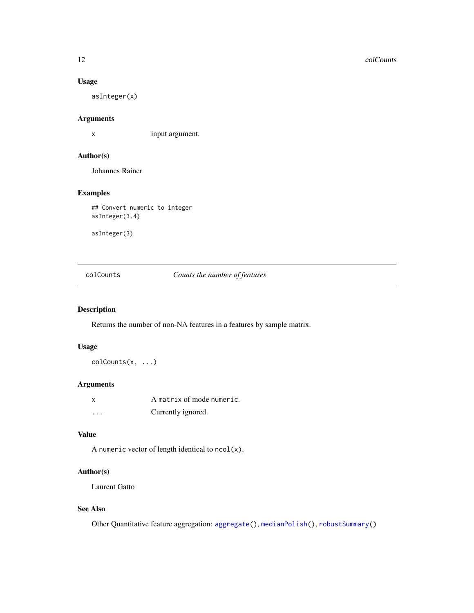#### Usage

asInteger(x)

## Arguments

x input argument.

## Author(s)

Johannes Rainer

## Examples

## Convert numeric to integer asInteger(3.4)

asInteger(3)

<span id="page-11-1"></span>colCounts *Counts the number of features*

## Description

Returns the number of non-NA features in a features by sample matrix.

## Usage

colCounts(x, ...)

#### Arguments

|   | A matrix of mode numeric. |
|---|---------------------------|
| . | Currently ignored.        |

## Value

A numeric vector of length identical to  $ncol(x)$ .

## Author(s)

Laurent Gatto

## See Also

Other Quantitative feature aggregation: [aggregate\(](#page-2-2)), [medianPolish\(](#page-24-1)), [robustSummary\(](#page-32-1))

<span id="page-11-0"></span>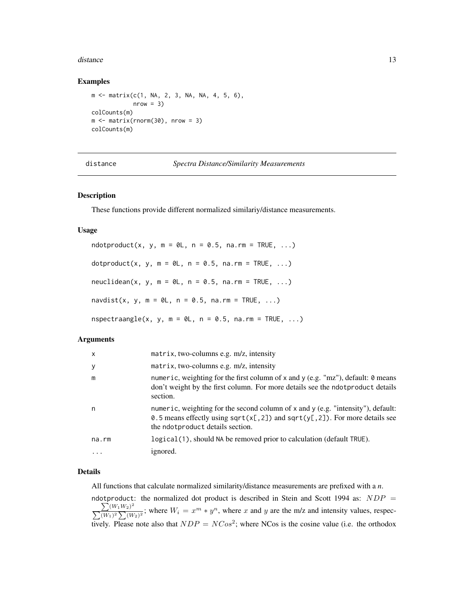#### <span id="page-12-0"></span>distance and the contract of the contract of the contract of the contract of the contract of the contract of the contract of the contract of the contract of the contract of the contract of the contract of the contract of t

#### Examples

```
m <- matrix(c(1, NA, 2, 3, NA, NA, 4, 5, 6),
            nrow = 3)colCounts(m)
m \le - matrix(rnorm(30), nrow = 3)
colCounts(m)
```

| distance | Spectra Distance/Similarity Measurements |
|----------|------------------------------------------|
|----------|------------------------------------------|

#### Description

These functions provide different normalized similariy/distance measurements.

#### Usage

 $ndotproduct(x, y, m = 0L, n = 0.5, na.m = TRUE, ...)$ dotproduct(x, y,  $m = 0$ L,  $n = 0.5$ ,  $na.rm = TRUE$ , ...)  $neuclidean(x, y, m = 0L, n = 0.5, na.m = TRUE, ...)$ navdist(x, y,  $m = 0$ L,  $n = 0.5$ ,  $na.rm = TRUE, ...$ ) nspectraangle(x, y, m =  $\theta$ L, n =  $\theta$ .5, na.rm = TRUE, ...)

#### Arguments

| $\mathsf{x}$ | matrix, two-columns e.g. $m/z$ , intensity                                                                                                                                                                 |
|--------------|------------------------------------------------------------------------------------------------------------------------------------------------------------------------------------------------------------|
| y            | matrix, two-columns e.g. $m/z$ , intensity                                                                                                                                                                 |
| m            | numeric, weighting for the first column of x and y (e.g. "mz"), default: 0 means<br>don't weight by the first column. For more details see the ndotproduct details<br>section.                             |
| n            | numeric, weighting for the second column of x and y (e.g. "intensity"), default:<br>0.5 means effectly using sqrt( $x$ [,2]) and sqrt( $y$ [,2]). For more details see<br>the ndotproduct details section. |
| $na$ . $rm$  | logical(1), should NA be removed prior to calculation (default TRUE).                                                                                                                                      |
| $\ddotsc$    | ignored.                                                                                                                                                                                                   |

## Details

All functions that calculate normalized similarity/distance measurements are prefixed with a *n*.

ndotproduct: the normalized dot product is described in Stein and Scott 1994 as:  $NDP =$  $\sum (W_1W_2)^2$  $\sum_{(W_1)^2} \sum_{(W_2)^2} (W_3)^2$ ; where  $W_i = x^m * y^n$ , where x and y are the m/z and intensity values, respectively. Please note also that  $NDP = NCos^2$ ; where NCos is the cosine value (i.e. the orthodox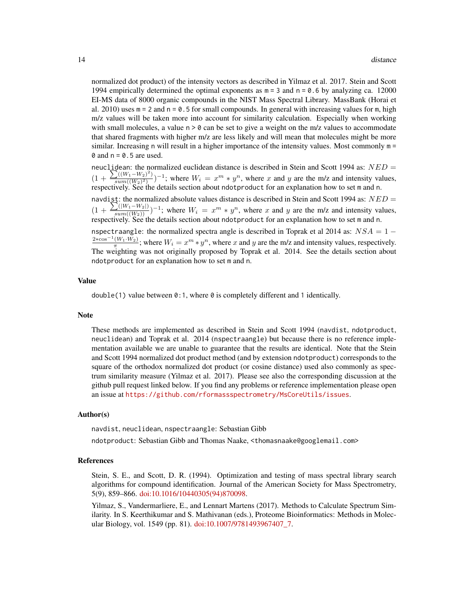normalized dot product) of the intensity vectors as described in Yilmaz et al. 2017. Stein and Scott 1994 empirically determined the optimal exponents as  $m = 3$  and  $n = 0.6$  by analyzing ca. 12000 EI-MS data of 8000 organic compounds in the NIST Mass Spectral Library. MassBank (Horai et al. 2010) uses  $m = 2$  and  $n = 0.5$  for small compounds. In general with increasing values for m, high m/z values will be taken more into account for similarity calculation. Especially when working with small molecules, a value  $n > 0$  can be set to give a weight on the m/z values to accommodate that shared fragments with higher m/z are less likely and will mean that molecules might be more similar. Increasing n will result in a higher importance of the intensity values. Most commonly  $m =$  $\theta$  and  $n = \theta$ . 5 are used.

neuclidean: the normalized euclidean distance is described in Stein and Scott 1994 as:  $NED =$  $(1 +$  $\sum ((W_1-W_2)^2)$  $\frac{U(W_1-W_2)}{sum((W_2)^2)}$ )<sup>-1</sup>; where  $W_i = x^m * y^n$ , where x and y are the m/z and intensity values, respectively. See the details section about ndotproduct for an explanation how to set m and n.

navdist: the normalized absolute values distance is described in Stein and Scott 1994 as:  $NED =$  $(1 + \frac{\sum (|W_1 - W_2|)}{sum((W_2))})^{-1}$ ; where  $W_i = x^m * y^n$ , where x and y are the m/z and intensity values, respectively. See the details section about ndotproduct for an explanation how to set m and n.

nspectraangle: the normalized spectra angle is described in Toprak et al 2014 as:  $NSA = 1 \frac{2*cos^{-1}(W_1\cdot W_2)}{\pi}$ ; where  $W_i = x^m * y^n$ , where x and y are the m/z and intensity values, respectively. The weighting was not originally proposed by Toprak et al. 2014. See the details section about ndotproduct for an explanation how to set m and n.

#### Value

 $double(1)$  value between  $0:1$ , where  $0$  is completely different and 1 identically.

#### Note

These methods are implemented as described in Stein and Scott 1994 (navdist, ndotproduct, neuclidean) and Toprak et al. 2014 (nspectraangle) but because there is no reference implementation available we are unable to guarantee that the results are identical. Note that the Stein and Scott 1994 normalized dot product method (and by extension ndotproduct) corresponds to the square of the orthodox normalized dot product (or cosine distance) used also commonly as spectrum similarity measure (Yilmaz et al. 2017). Please see also the corresponding discussion at the github pull request linked below. If you find any problems or reference implementation please open an issue at <https://github.com/rformassspectrometry/MsCoreUtils/issues>.

#### Author(s)

navdist, neuclidean, nspectraangle: Sebastian Gibb

ndotproduct: Sebastian Gibb and Thomas Naake, <thomasnaake@googlemail.com>

#### References

Stein, S. E., and Scott, D. R. (1994). Optimization and testing of mass spectral library search algorithms for compound identification. Journal of the American Society for Mass Spectrometry, 5(9), 859–866. [doi:10.1016/10440305\(94\)870098.](https://doi.org/10.1016/1044-0305%2894%2987009-8)

Yilmaz, S., Vandermarliere, E., and Lennart Martens (2017). Methods to Calculate Spectrum Similarity. In S. Keerthikumar and S. Mathivanan (eds.), Proteome Bioinformatics: Methods in Molecular Biology, vol. 1549 (pp. 81). [doi:10.1007/9781493967407\\_7.](https://doi.org/10.1007/978-1-4939-6740-7_7)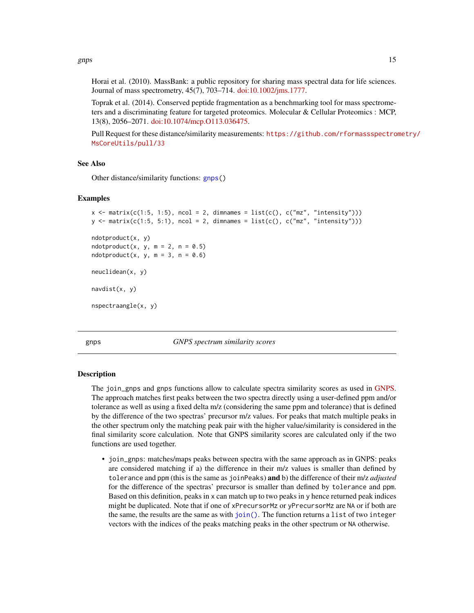<span id="page-14-0"></span>gnps and the set of the set of the set of the set of the set of the set of the set of the set of the set of the set of the set of the set of the set of the set of the set of the set of the set of the set of the set of the

Horai et al. (2010). MassBank: a public repository for sharing mass spectral data for life sciences. Journal of mass spectrometry, 45(7), 703–714. [doi:10.1002/jms.1777.](https://doi.org/10.1002/jms.1777)

Toprak et al. (2014). Conserved peptide fragmentation as a benchmarking tool for mass spectrometers and a discriminating feature for targeted proteomics. Molecular & Cellular Proteomics : MCP, 13(8), 2056–2071. [doi:10.1074/mcp.O113.036475.](https://doi.org/10.1074/mcp.O113.036475)

Pull Request for these distance/similarity measurements: [https://github.com/rformassspectro](https://github.com/rformassspectrometry/MsCoreUtils/pull/33)metry/ [MsCoreUtils/pull/33](https://github.com/rformassspectrometry/MsCoreUtils/pull/33)

#### See Also

Other distance/similarity functions: [gnps\(](#page-14-1))

#### Examples

```
x \le matrix(c(1:5, 1:5), ncol = 2, dimnames = list(c(), c("mz", "intensity")))
y \leq - matrix(c(1:5, 5:1), ncol = 2, dimnames = list(c(), c("mz", "intensity")))
ndotproduct(x, y)
ndotproduct(x, y, m = 2, n = 0.5)ndotproduct(x, y, m = 3, n = 0.6)neuclidean(x, y)
navdist(x, y)
nspectraangle(x, y)
```
<span id="page-14-1"></span>gnps *GNPS spectrum similarity scores*

#### Description

The join\_gnps and gnps functions allow to calculate spectra similarity scores as used in [GNPS.](https://gnps.ucsd.edu/) The approach matches first peaks between the two spectra directly using a user-defined ppm and/or tolerance as well as using a fixed delta m/z (considering the same ppm and tolerance) that is defined by the difference of the two spectras' precursor m/z values. For peaks that match multiple peaks in the other spectrum only the matching peak pair with the higher value/similarity is considered in the final similarity score calculation. Note that GNPS similarity scores are calculated only if the two functions are used together.

• join\_gnps: matches/maps peaks between spectra with the same approach as in GNPS: peaks are considered matching if a) the difference in their m/z values is smaller than defined by tolerance and ppm (this is the same as joinPeaks) and b) the difference of their m/z *adjusted* for the difference of the spectras' precursor is smaller than defined by tolerance and ppm. Based on this definition, peaks in x can match up to two peaks in y hence returned peak indices might be duplicated. Note that if one of xPrecursorMz or yPrecursorMz are NA or if both are the same, the results are the same as with [join\(\)](#page-7-2). The function returns a list of two integer vectors with the indices of the peaks matching peaks in the other spectrum or NA otherwise.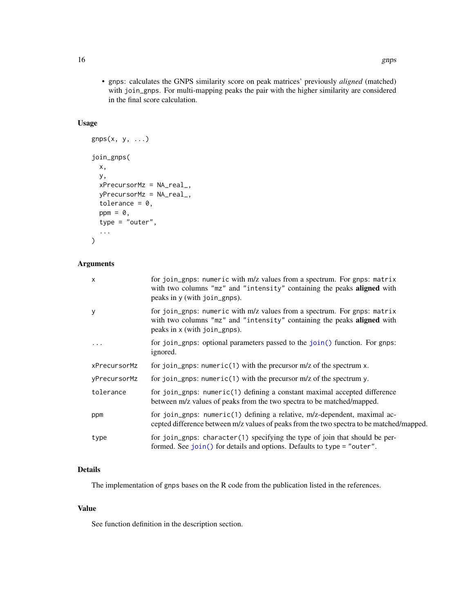<span id="page-15-0"></span>• gnps: calculates the GNPS similarity score on peak matrices' previously *aligned* (matched) with join\_gnps. For multi-mapping peaks the pair with the higher similarity are considered in the final score calculation.

## Usage

```
gnps(x, y, ...)join_gnps(
  x,
  y,
  xPrecursorMz = NA_real_,
  yPrecursorMz = NA_real_,
  tolerance = 0,
  ppm = 0,
  type = "outer",
  ...
\mathcal{L}
```
## Arguments

| X            | for join_gnps: numeric with m/z values from a spectrum. For gnps: matrix<br>with two columns "mz" and "intensity" containing the peaks aligned with<br>peaks in y (with join_gnps). |
|--------------|-------------------------------------------------------------------------------------------------------------------------------------------------------------------------------------|
| y            | for join_gnps: numeric with m/z values from a spectrum. For gnps: matrix<br>with two columns "mz" and "intensity" containing the peaks aligned with<br>peaks in x (with join_gnps). |
| $\ddots$     | for join_gnps: optional parameters passed to the join() function. For gnps:<br>ignored.                                                                                             |
| xPrecursorMz | for join_gnps: numeric(1) with the precursor $m/z$ of the spectrum $x$ .                                                                                                            |
| yPrecursorMz | for join_gnps: numeric(1) with the precursor $m/z$ of the spectrum y.                                                                                                               |
| tolerance    | for join_gnps: numeric(1) defining a constant maximal accepted difference<br>between m/z values of peaks from the two spectra to be matched/mapped.                                 |
| ppm          | for join_gnps: numeric(1) defining a relative, m/z-dependent, maximal ac-<br>cepted difference between m/z values of peaks from the two spectra to be matched/mapped.               |
| type         | for join_gnps: character(1) specifying the type of join that should be per-<br>formed. See join() for details and options. Defaults to type = "outer".                              |

## Details

The implementation of gnps bases on the R code from the publication listed in the references.

## Value

See function definition in the description section.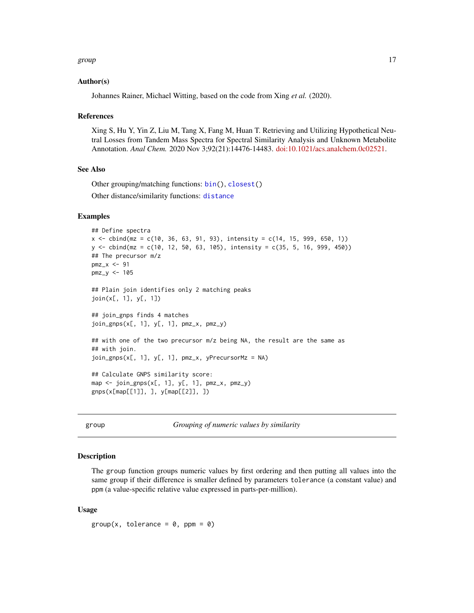#### <span id="page-16-0"></span>group that the state of the state of the state of the state of the state of the state of the state of the state of the state of the state of the state of the state of the state of the state of the state of the state of the

#### Author(s)

Johannes Rainer, Michael Witting, based on the code from Xing *et al.* (2020).

#### References

Xing S, Hu Y, Yin Z, Liu M, Tang X, Fang M, Huan T. Retrieving and Utilizing Hypothetical Neutral Losses from Tandem Mass Spectra for Spectral Similarity Analysis and Unknown Metabolite Annotation. *Anal Chem.* 2020 Nov 3;92(21):14476-14483. [doi:10.1021/acs.analchem.0c02521.](https://doi.org/10.1021/acs.analchem.0c02521)

#### See Also

Other grouping/matching functions: [bin\(](#page-5-1)), [closest\(](#page-7-1)) Other distance/similarity functions: [distance](#page-12-1)

## Examples

```
## Define spectra
x \le cbind(mz = c(10, 36, 63, 91, 93), intensity = c(14, 15, 999, 650, 1))
y \le cbind(mz = c(10, 12, 50, 63, 105), intensity = c(35, 5, 16, 999, 450))
## The precursor m/z
pmz < -91pmz_y <- 105
## Plain join identifies only 2 matching peaks
join(x[, 1], y[, 1])
## join_gnps finds 4 matches
join_gnps(x[, 1], y[, 1], pmz_x, pmz_y)
## with one of the two precursor m/z being NA, the result are the same as
## with join.
join_gnps(x[, 1], y[, 1], pmz_x, yPrecursorMz = NA)
## Calculate GNPS similarity score:
map <- join_gnps(x[, 1], y[, 1], pmz_x, pmz_y)
gnps(x[map[[1]], ], y[map[[2]], ])
```
group *Grouping of numeric values by similarity*

#### Description

The group function groups numeric values by first ordering and then putting all values into the same group if their difference is smaller defined by parameters tolerance (a constant value) and ppm (a value-specific relative value expressed in parts-per-million).

#### Usage

 $group(x, tolerance = 0, ppm = 0)$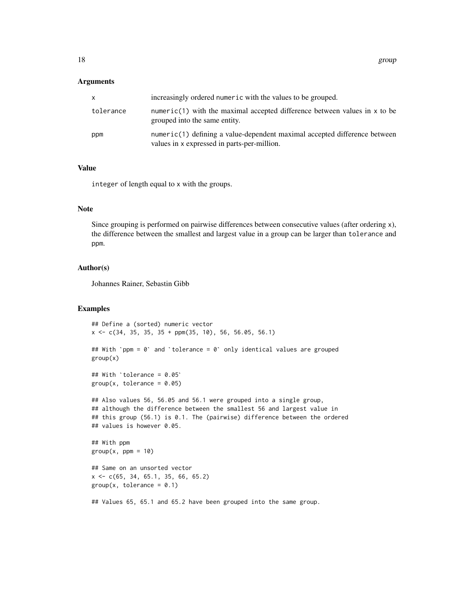#### Arguments

| x.        | increasingly ordered numeric with the values to be grouped.                                                              |
|-----------|--------------------------------------------------------------------------------------------------------------------------|
| tolerance | numeric(1) with the maximal accepted difference between values in $x$ to be<br>grouped into the same entity.             |
| ppm       | numeric(1) defining a value-dependent maximal accepted difference between<br>values in x expressed in parts-per-million. |

## Value

integer of length equal to x with the groups.

## Note

Since grouping is performed on pairwise differences between consecutive values (after ordering x), the difference between the smallest and largest value in a group can be larger than tolerance and ppm.

### Author(s)

Johannes Rainer, Sebastin Gibb

#### Examples

```
## Define a (sorted) numeric vector
x \leq -c(34, 35, 35, 35 + ppm(35, 10), 56, 56.05, 56.1)## With `ppm = 0` and `tolerance = 0` only identical values are grouped
group(x)
## With `tolerance = 0.05`
group(x, tolerance = 0.05)## Also values 56, 56.05 and 56.1 were grouped into a single group,
## although the difference between the smallest 56 and largest value in
## this group (56.1) is 0.1. The (pairwise) difference between the ordered
## values is however 0.05.
## With ppm
group(x, ppm = 10)## Same on an unsorted vector
x <- c(65, 34, 65.1, 35, 66, 65.2)
group(x, tolerance = 0.1)
```
## Values 65, 65.1 and 65.2 have been grouped into the same group.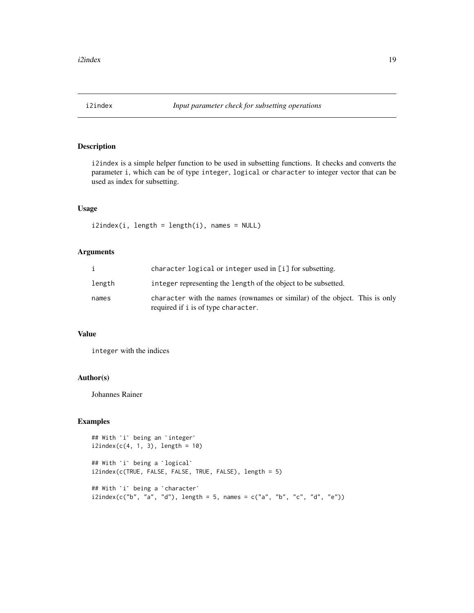<span id="page-18-0"></span>

i2index is a simple helper function to be used in subsetting functions. It checks and converts the parameter i, which can be of type integer, logical or character to integer vector that can be used as index for subsetting.

## Usage

```
i2index(i, length = length(i), names = NULL)
```
## Arguments

|        | character logical or integer used in [i] for subsetting.                                                          |
|--------|-------------------------------------------------------------------------------------------------------------------|
| length | integer representing the length of the object to be subsetted.                                                    |
| names  | character with the names (rownames or similar) of the object. This is only<br>required if i is of type character. |

## Value

integer with the indices

## Author(s)

Johannes Rainer

```
## With `i` being an `integer`
i2index(c(4, 1, 3), length = 10)## With `i` being an `integer<br>i2index(c(4, 1, 3), length =<br>## With `i` being a `logical`
i2index(c(TRUE, FALSE, FALSE, TRUE, FALSE), length = 5)
## With `i` being a `logical`<br>i2index(c(TRUE, FALSE, FALSE, T<br>## With `i` being a `character`
i2index(c("b", "a", "d"), length = 5, names = c("a", "b", "c", "d", "e"))
```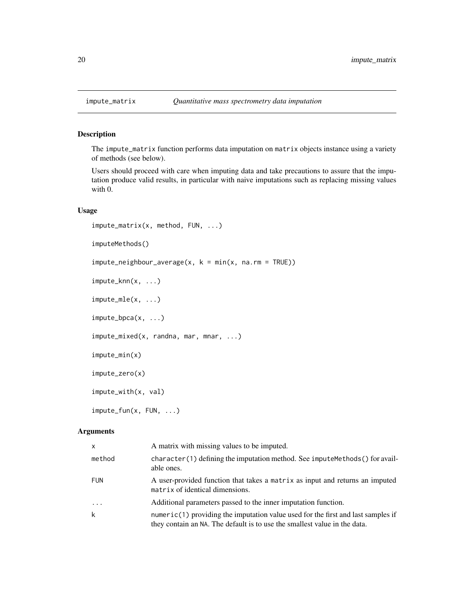<span id="page-19-0"></span>

The impute\_matrix function performs data imputation on matrix objects instance using a variety of methods (see below).

Users should proceed with care when imputing data and take precautions to assure that the imputation produce valid results, in particular with naive imputations such as replacing missing values with 0.

#### Usage

```
impute_matrix(x, method, FUN, ...)
imputeMethods()
impute\_neighbor\_average(x, k = min(x, na.rm = TRUE))impute_knn(x, ...)
impute_mle(x, \ldots)impute_bpca(x, ...)
impute_mixed(x, randna, mar, mnar, ...)
impute_min(x)
impute_zero(x)
impute_with(x, val)
impute_fun(x, FUN, ...)
```
#### Arguments

| $\mathsf{x}$ | A matrix with missing values to be imputed.                                                                                                                   |
|--------------|---------------------------------------------------------------------------------------------------------------------------------------------------------------|
| method       | $character(1)$ defining the imputation method. See impute Methods () for avail-<br>able ones.                                                                 |
| FUN          | A user-provided function that takes a matrix as input and returns an imputed<br>matrix of identical dimensions.                                               |
| $\cdots$     | Additional parameters passed to the inner imputation function.                                                                                                |
| k            | numeric(1) providing the imputation value used for the first and last samples if<br>they contain an NA. The default is to use the smallest value in the data. |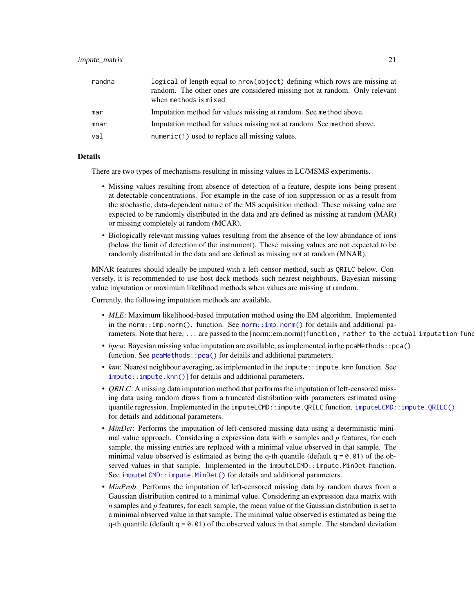#### <span id="page-20-0"></span>impute\_matrix 21

| randna | logical of length equal to nrow(object) defining which rows are missing at<br>random. The other ones are considered missing not at random. Only relevant<br>when methods is mixed. |
|--------|------------------------------------------------------------------------------------------------------------------------------------------------------------------------------------|
| mar    | Imputation method for values missing at random. See method above.                                                                                                                  |
| mnar   | Imputation method for values missing not at random. See method above.                                                                                                              |
| val    | numeric(1) used to replace all missing values.                                                                                                                                     |

#### Details

There are two types of mechanisms resulting in missing values in LC/MSMS experiments.

- Missing values resulting from absence of detection of a feature, despite ions being present at detectable concentrations. For example in the case of ion suppression or as a result from the stochastic, data-dependent nature of the MS acquisition method. These missing value are expected to be randomly distributed in the data and are defined as missing at random (MAR) or missing completely at random (MCAR).
- Biologically relevant missing values resulting from the absence of the low abundance of ions (below the limit of detection of the instrument). These missing values are not expected to be randomly distributed in the data and are defined as missing not at random (MNAR).

MNAR features should ideally be imputed with a left-censor method, such as QRILC below. Conversely, it is recommended to use host deck methods such nearest neighbours, Bayesian missing value imputation or maximum likelihood methods when values are missing at random.

Currently, the following imputation methods are available.

- *MLE*: Maximum likelihood-based imputation method using the EM algorithm. Implemented in the norm:: $\text{imp}$ .norm(). function. See norm:: $\text{imp}$ .norm() for details and additional parameters. Note that here, ... are passed to the [norm::em.norm()function, rather to the actual imputation func
- *bpca*: Bayesian missing value imputation are available, as implemented in the pcaMethods::pca() function. See pcaMethods:: pca() for details and additional parameters.
- *knn*: Nearest neighbour averaging, as implemented in the impute:: impute.knn function. See [impute::impute.knn\(\)](#page-0-0)] for details and additional parameters.
- *QRILC*: A missing data imputation method that performs the imputation of left-censored missing data using random draws from a truncated distribution with parameters estimated using quantile regression. Implemented in the imputeLCMD::impute.QRILC function. [imputeLCMD::impute.QRILC\(\)](#page-0-0) for details and additional parameters.
- *MinDet*: Performs the imputation of left-censored missing data using a deterministic minimal value approach. Considering a expression data with *n* samples and *p* features, for each sample, the missing entries are replaced with a minimal value observed in that sample. The minimal value observed is estimated as being the q-th quantile (default  $q = 0.01$ ) of the observed values in that sample. Implemented in the imputeLCMD:: impute.MinDet function. See imputeLCMD:: impute.MinDet() for details and additional parameters.
- *MinProb*: Performs the imputation of left-censored missing data by random draws from a Gaussian distribution centred to a minimal value. Considering an expression data matrix with *n* samples and *p* features, for each sample, the mean value of the Gaussian distribution is set to a minimal observed value in that sample. The minimal value observed is estimated as being the q-th quantile (default  $q = 0.01$ ) of the observed values in that sample. The standard deviation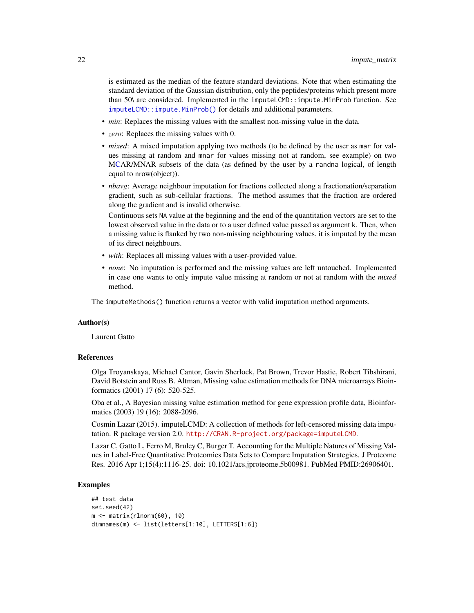<span id="page-21-0"></span>is estimated as the median of the feature standard deviations. Note that when estimating the standard deviation of the Gaussian distribution, only the peptides/proteins which present more than 50\ are considered. Implemented in the imputeLCMD::impute.MinProb function. See [imputeLCMD::impute.MinProb\(\)](#page-0-0) for details and additional parameters.

- *min*: Replaces the missing values with the smallest non-missing value in the data.
- *zero*: Replaces the missing values with 0.
- *mixed*: A mixed imputation applying two methods (to be defined by the user as mar for values missing at random and mnar for values missing not at random, see example) on two [MCA](#page-0-0)R/MNAR subsets of the data (as defined by the user by a randna logical, of length equal to nrow(object)).
- *nbavg*: Average neighbour imputation for fractions collected along a fractionation/separation gradient, such as sub-cellular fractions. The method assumes that the fraction are ordered along the gradient and is invalid otherwise.

Continuous sets NA value at the beginning and the end of the quantitation vectors are set to the lowest observed value in the data or to a user defined value passed as argument k. Then, when a missing value is flanked by two non-missing neighbouring values, it is imputed by the mean of its direct neighbours.

- *with*: Replaces all missing values with a user-provided value.
- *none*: No imputation is performed and the missing values are left untouched. Implemented in case one wants to only impute value missing at random or not at random with the *mixed* method.

The imputeMethods() function returns a vector with valid imputation method arguments.

## Author(s)

Laurent Gatto

#### References

Olga Troyanskaya, Michael Cantor, Gavin Sherlock, Pat Brown, Trevor Hastie, Robert Tibshirani, David Botstein and Russ B. Altman, Missing value estimation methods for DNA microarrays Bioinformatics (2001) 17 (6): 520-525.

Oba et al., A Bayesian missing value estimation method for gene expression profile data, Bioinformatics (2003) 19 (16): 2088-2096.

Cosmin Lazar (2015). imputeLCMD: A collection of methods for left-censored missing data imputation. R package version 2.0. <http://CRAN.R-project.org/package=imputeLCMD>.

Lazar C, Gatto L, Ferro M, Bruley C, Burger T. Accounting for the Multiple Natures of Missing Values in Label-Free Quantitative Proteomics Data Sets to Compare Imputation Strategies. J Proteome Res. 2016 Apr 1;15(4):1116-25. doi: 10.1021/acs.jproteome.5b00981. PubMed PMID:26906401.

```
## test data
set.seed(42)
m \leq - matrix(rlnorm(60), 10)
dimnames(m) <- list(letters[1:10], LETTERS[1:6])
```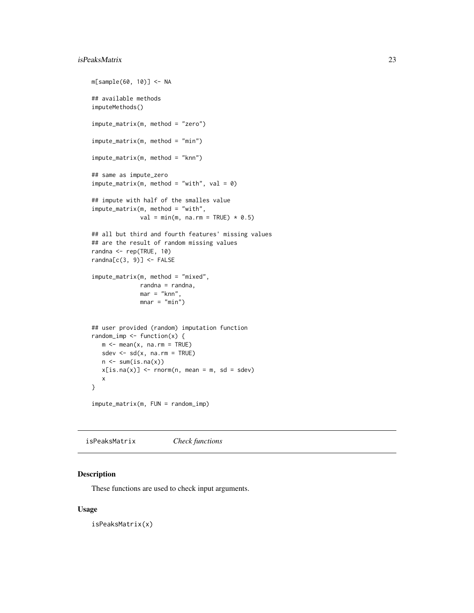## <span id="page-22-0"></span>isPeaksMatrix 23

```
m[sample(60, 10)] <- NA
## available methods
imputeMethods()
impute_matrix(m, method = "zero")
impute_matrix(m, method = "min")
impute_matrix(m, method = "knn")
## same as impute_zero
impute_matrix(m, method = "with", val = 0)## impute with half of the smalles value
impute_matrix(m, method = "with",
              val = min(m, na.rm = TRUE) * 0.5)## all but third and fourth features' missing values
## are the result of random missing values
randna <- rep(TRUE, 10)
randna[c(3, 9)] \leftarrow FALSEimpute_matrix(m, method = "mixed",
              randna = randna,
              mar = "knn",mnar = "min")## user provided (random) imputation function
random_imp \leq function(x) {
  m <- mean(x, na.rm = TRUE)
  sdev \leq sd(x, na.rm = TRUE)
  n \leftarrow sum(is.na(x))x[i s, na(x)] <- rnorm(n, mean = m, sd = sdev)
  x
}
impute_matrix(m, FUN = random_imp)
```
<span id="page-22-1"></span>isPeaksMatrix *Check functions*

#### Description

These functions are used to check input arguments.

## Usage

isPeaksMatrix(x)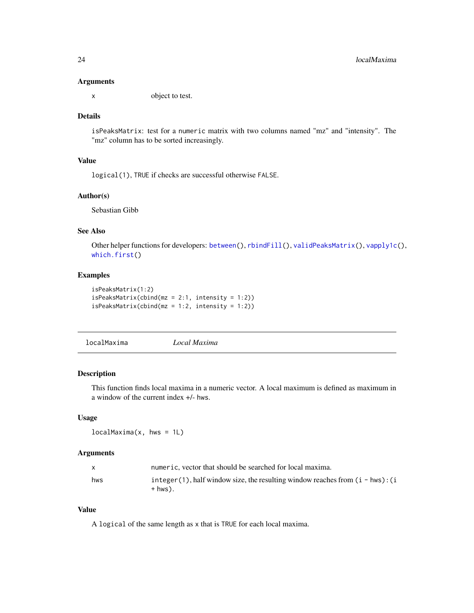#### <span id="page-23-0"></span>Arguments

x object to test.

## Details

isPeaksMatrix: test for a numeric matrix with two columns named "mz" and "intensity". The "mz" column has to be sorted increasingly.

#### Value

logical(1), TRUE if checks are successful otherwise FALSE.

## Author(s)

Sebastian Gibb

## See Also

Other helper functions for developers: [between\(](#page-4-1)), [rbindFill\(](#page-28-1)), [validPeaksMatrix\(](#page-36-1)), [vapply1c\(](#page-38-1)), [which.first\(](#page-39-1))

## Examples

```
isPeaksMatrix(1:2)
isPeaksMatrix(cbind(mz = 2:1, intensity = 1:2))
isPeaksMatrix(cbind(mz = 1:2, intensity = 1:2))
```
<span id="page-23-1"></span>localMaxima *Local Maxima*

## Description

This function finds local maxima in a numeric vector. A local maximum is defined as maximum in a window of the current index +/- hws.

## Usage

 $localMaxima(x, hws = 1L)$ 

## Arguments

|     | numeric, vector that should be searched for local maxima.                                         |
|-----|---------------------------------------------------------------------------------------------------|
| hws | integer $(1)$ , half window size, the resulting window reaches from $(i - hws)$ : $(i$<br>+ hws). |

## Value

A logical of the same length as x that is TRUE for each local maxima.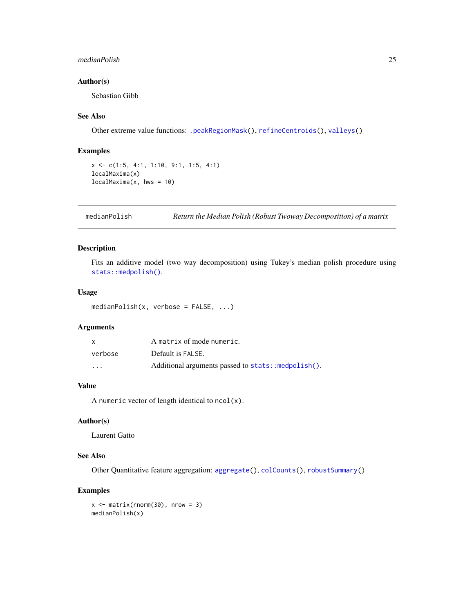## <span id="page-24-0"></span>medianPolish 25

## Author(s)

Sebastian Gibb

#### See Also

Other extreme value functions: [.peakRegionMask\(](#page-0-0)), [refineCentroids\(](#page-29-1)), [valleys\(](#page-37-1))

#### Examples

```
x <- c(1:5, 4:1, 1:10, 9:1, 1:5, 4:1)
localMaxima(x)
localMaxima(x, hws = 10)
```
<span id="page-24-1"></span>medianPolish *Return the Median Polish (Robust Twoway Decomposition) of a matrix*

## Description

Fits an additive model (two way decomposition) using Tukey's median polish procedure using [stats::medpolish\(\)](#page-0-0).

## Usage

medianPolish(x, verbose = FALSE, ...)

## Arguments

| x       | A matrix of mode numeric.                          |
|---------|----------------------------------------------------|
| verbose | Default is FALSE.                                  |
| $\cdot$ | Additional arguments passed to stats::medpolish(). |

## Value

A numeric vector of length identical to  $ncol(x)$ .

## Author(s)

Laurent Gatto

## See Also

Other Quantitative feature aggregation: [aggregate\(](#page-2-2)), [colCounts\(](#page-11-1)), [robustSummary\(](#page-32-1))

## Examples

 $x \le -$  matrix(rnorm(30), nrow = 3) medianPolish(x)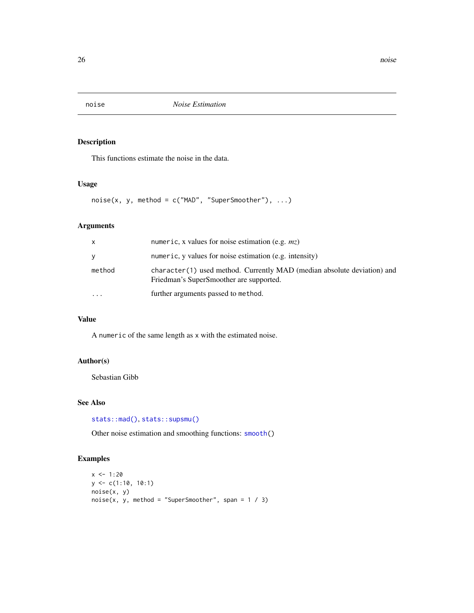<span id="page-25-1"></span><span id="page-25-0"></span>

This functions estimate the noise in the data.

## Usage

 $noise(x, y, method = c("MAD", "SuperSmoother"), ...)$ 

## Arguments

| X      | numeric, x values for noise estimation (e.g. $mz$ )                                                                |
|--------|--------------------------------------------------------------------------------------------------------------------|
| y      | numeric, y values for noise estimation (e.g. intensity)                                                            |
| method | character(1) used method. Currently MAD (median absolute deviation) and<br>Friedman's SuperSmoother are supported. |
|        | further arguments passed to method.                                                                                |

## Value

A numeric of the same length as x with the estimated noise.

## Author(s)

Sebastian Gibb

## See Also

[stats::mad\(\)](#page-0-0), [stats::supsmu\(\)](#page-0-0)

Other noise estimation and smoothing functions: [smooth\(](#page-34-1))

```
x < -1:20y <- c(1:10, 10:1)
noise(x, y)
noise(x, y, method = "SuperSmoother", span = 1 / 3)
```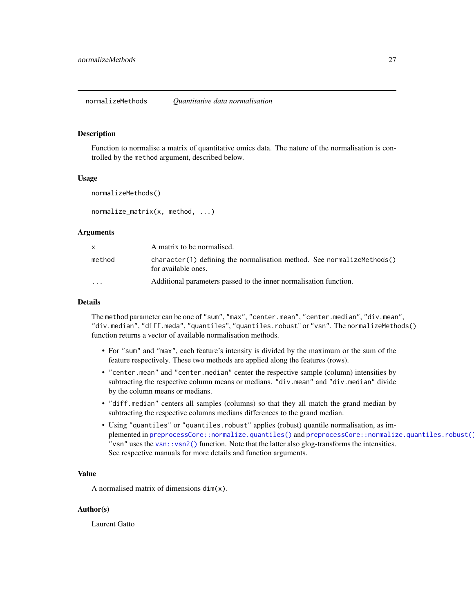<span id="page-26-0"></span>normalizeMethods *Quantitative data normalisation*

#### **Description**

Function to normalise a matrix of quantitative omics data. The nature of the normalisation is controlled by the method argument, described below.

#### Usage

```
normalizeMethods()
```
normalize\_matrix(x, method, ...)

#### Arguments

|                         | A matrix to be normalised.                                                                    |
|-------------------------|-----------------------------------------------------------------------------------------------|
| method                  | character(1) defining the normalisation method. See normalizemethods()<br>for available ones. |
| $\cdot$ $\cdot$ $\cdot$ | Additional parameters passed to the inner normalisation function.                             |

## Details

The method parameter can be one of "sum", "max", "center.mean", "center.median", "div.mean", "div.median", "diff.meda", "quantiles", "quantiles.robust" or "vsn". The normalizeMethods() function returns a vector of available normalisation methods.

- For "sum" and "max", each feature's intensity is divided by the maximum or the sum of the feature respectively. These two methods are applied along the features (rows).
- "center.mean" and "center.median" center the respective sample (column) intensities by subtracting the respective column means or medians. "div.mean" and "div.median" divide by the column means or medians.
- "diff.median" centers all samples (columns) so that they all match the grand median by subtracting the respective columns medians differences to the grand median.
- Using "quantiles" or "quantiles.robust" applies (robust) quantile normalisation, as implemented in [preprocessCore::normalize.quantiles\(\)](#page-0-0) and [preprocessCore::normalize.quantiles.robust\(\)](#page-0-0). "vsn" uses the [vsn::vsn2\(\)](#page-0-0) function. Note that the latter also glog-transforms the intensities. See respective manuals for more details and function arguments.

#### Value

A normalised matrix of dimensions dim(x).

#### Author(s)

Laurent Gatto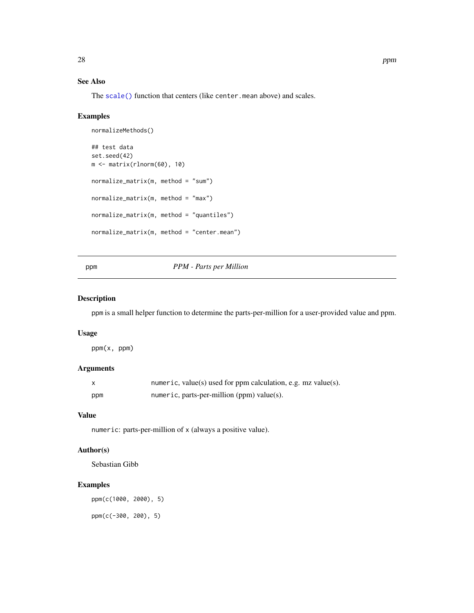## <span id="page-27-0"></span>See Also

The [scale\(\)](#page-0-0) function that centers (like center.mean above) and scales.

## Examples

```
normalizeMethods()
## test data
set.seed(42)
m <- matrix(rlnorm(60), 10)
normalize_matrix(m, method = "sum")normalize_matrix(m, method = "max")normalize_matrix(m, method = "quantiles")
normalize_matrix(m, method = "center.mean")
```
#### ppm *PPM - Parts per Million*

## Description

ppm is a small helper function to determine the parts-per-million for a user-provided value and ppm.

#### Usage

ppm(x, ppm)

## Arguments

|     | numeric, value(s) used for ppm calculation, e.g. $mz$ value(s). |
|-----|-----------------------------------------------------------------|
| ppm | numeric, parts-per-million $(ppm)$ value $(s)$ .                |

## Value

numeric: parts-per-million of x (always a positive value).

## Author(s)

Sebastian Gibb

## Examples

ppm(c(1000, 2000), 5) ppm(c(-300, 200), 5)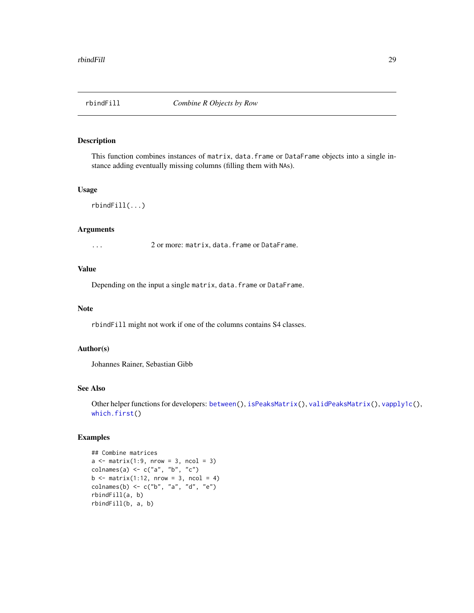<span id="page-28-1"></span><span id="page-28-0"></span>

This function combines instances of matrix, data.frame or DataFrame objects into a single instance adding eventually missing columns (filling them with NAs).

#### Usage

rbindFill(...)

## Arguments

... 2 or more: matrix, data.frame or DataFrame.

## Value

Depending on the input a single matrix, data.frame or DataFrame.

#### **Note**

rbindFill might not work if one of the columns contains S4 classes.

## Author(s)

Johannes Rainer, Sebastian Gibb

## See Also

Other helper functions for developers: [between\(](#page-4-1)), [isPeaksMatrix\(](#page-22-1)), [validPeaksMatrix\(](#page-36-1)), [vapply1c\(](#page-38-1)), [which.first\(](#page-39-1))

```
## Combine matrices
a \leftarrow \text{matrix}(1:9, \text{ nrow} = 3, \text{ ncol} = 3)colnames(a) \leq c("a", "b", "c")
b \le matrix(1:12, nrow = 3, ncol = 4)
colnames(b) <- c("b", "a", "d", "e")
rbindFill(a, b)
rbindFill(b, a, b)
```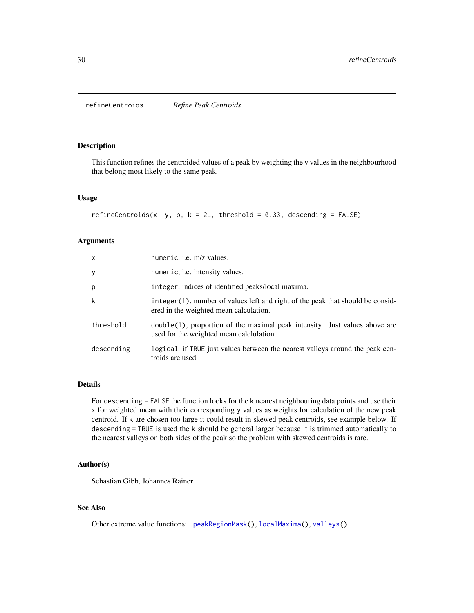<span id="page-29-1"></span><span id="page-29-0"></span>refineCentroids *Refine Peak Centroids*

#### Description

This function refines the centroided values of a peak by weighting the y values in the neighbourhood that belong most likely to the same peak.

#### Usage

```
refineCentroids(x, y, p, k = 2L, threshold = 0.33, descending = FALSE)
```
#### Arguments

| $\mathsf{x}$ | numeric, <i>i.e.</i> m/z values.                                                                                          |
|--------------|---------------------------------------------------------------------------------------------------------------------------|
| У            | numeric, <i>i.e.</i> intensity values.                                                                                    |
| p            | integer, indices of identified peaks/local maxima.                                                                        |
| k            | integer (1), number of values left and right of the peak that should be consid-<br>ered in the weighted mean calculation. |
| threshold    | $double(1)$ , proportion of the maximal peak intensity. Just values above are<br>used for the weighted mean calclulation. |
| descending   | logical, if TRUE just values between the nearest valleys around the peak cen-<br>troids are used.                         |

## Details

For descending = FALSE the function looks for the k nearest neighbouring data points and use their x for weighted mean with their corresponding y values as weights for calculation of the new peak centroid. If k are chosen too large it could result in skewed peak centroids, see example below. If descending = TRUE is used the k should be general larger because it is trimmed automatically to the nearest valleys on both sides of the peak so the problem with skewed centroids is rare.

## Author(s)

Sebastian Gibb, Johannes Rainer

## See Also

Other extreme value functions: [.peakRegionMask\(](#page-0-0)), [localMaxima\(](#page-23-1)), [valleys\(](#page-37-1))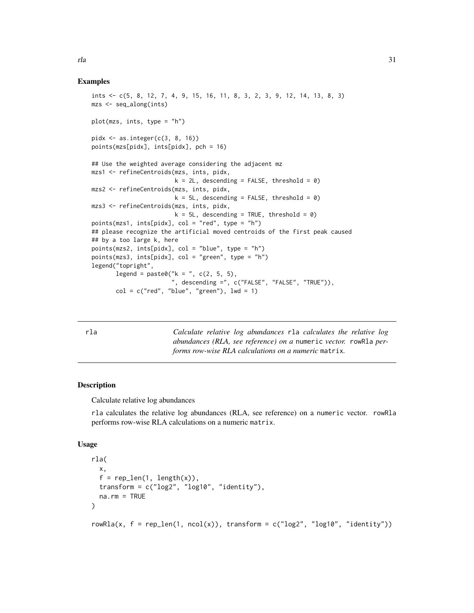#### Examples

```
ints <- c(5, 8, 12, 7, 4, 9, 15, 16, 11, 8, 3, 2, 3, 9, 12, 14, 13, 8, 3)
mzs <- seq_along(ints)
plot(mzs, ints, type = "h")
pidx \leq as.integer(c(3, 8, 16))
points(mzs[pidx], ints[pidx], pch = 16)
## Use the weighted average considering the adjacent mz
mzs1 <- refineCentroids(mzs, ints, pidx,
                        k = 2L, descending = FALSE, threshold = 0)
mzs2 <- refineCentroids(mzs, ints, pidx,
                        k = 5L, descending = FALSE, threshold = 0)
mzs3 <- refineCentroids(mzs, ints, pidx,
                        k = 5L, descending = TRUE, threshold = 0)
points(mzs1, ints[pidx], col = "red", type = "h")
## please recognize the artificial moved centroids of the first peak caused
## by a too large k, here
points(mzs2, ints[pidx], col = "blue", type = "h")
points(mzs3, ints[pidx], col = "green", type = "h")
legend("topright",
       legend = paste0("k = ", c(2, 5, 5),", descending =", c("FALSE", "FALSE", "TRUE")),
       col = c("red", "blue", "green"), lwd = 1)
```
rla *Calculate relative log abundances* rla *calculates the relative log abundances (RLA, see reference) on a* numeric *vector.* rowRla *performs row-wise RLA calculations on a numeric* matrix*.*

#### Description

Calculate relative log abundances

rla calculates the relative log abundances (RLA, see reference) on a numeric vector. rowRla performs row-wise RLA calculations on a numeric matrix.

#### Usage

```
rla(
  x,
  f = rep\_len(1, length(x)).transform = c("log2", "log10", "identity"),
 na.rm = TRUE
\lambdarowRla(x, f = rep\_len(1, ncol(x)), transform = c("log2", "log10", "identity"))
```
<span id="page-30-0"></span>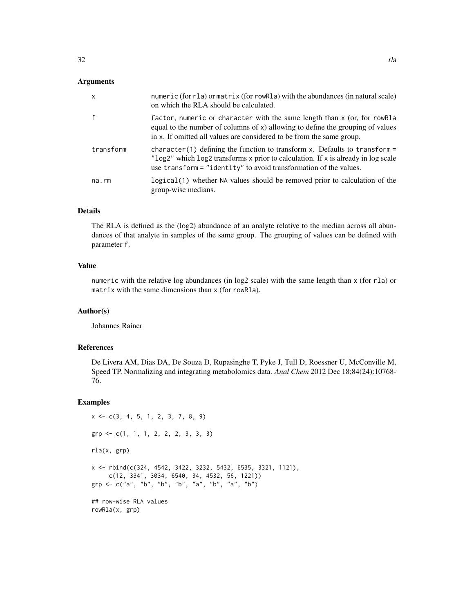### Arguments

| $\boldsymbol{\mathsf{x}}$ | numeric (for r1a) or matrix (for rowR1a) with the abundances (in natural scale)<br>on which the RLA should be calculated.                                                                                                              |
|---------------------------|----------------------------------------------------------------------------------------------------------------------------------------------------------------------------------------------------------------------------------------|
|                           | factor, numeric or character with the same length than x (or, for rowRla<br>equal to the number of columns of $x$ ) allowing to define the grouping of values<br>in x. If omitted all values are considered to be from the same group. |
| transform                 | character(1) defining the function to transform x. Defaults to transform =<br>"log2" which log2 transforms x prior to calculation. If x is already in log scale<br>use transform = "identity" to avoid transformation of the values.   |
| na.rm                     | logical (1) whether NA values should be removed prior to calculation of the<br>group-wise medians.                                                                                                                                     |

## Details

The RLA is defined as the (log2) abundance of an analyte relative to the median across all abundances of that analyte in samples of the same group. The grouping of values can be defined with parameter f.

#### Value

numeric with the relative log abundances (in log2 scale) with the same length than x (for rla) or matrix with the same dimensions than x (for rowRla).

## Author(s)

Johannes Rainer

#### References

De Livera AM, Dias DA, De Souza D, Rupasinghe T, Pyke J, Tull D, Roessner U, McConville M, Speed TP. Normalizing and integrating metabolomics data. *Anal Chem* 2012 Dec 18;84(24):10768- 76.

```
x \leq -c(3, 4, 5, 1, 2, 3, 7, 8, 9)grp <- c(1, 1, 1, 2, 2, 2, 3, 3, 3)
rla(x, grp)
x <- rbind(c(324, 4542, 3422, 3232, 5432, 6535, 3321, 1121),
     c(12, 3341, 3034, 6540, 34, 4532, 56, 1221))
grp <- c("a", "b", "b", "b", "a", "b", "a", "b")
## row-wise RLA values
rowRla(x, grp)
```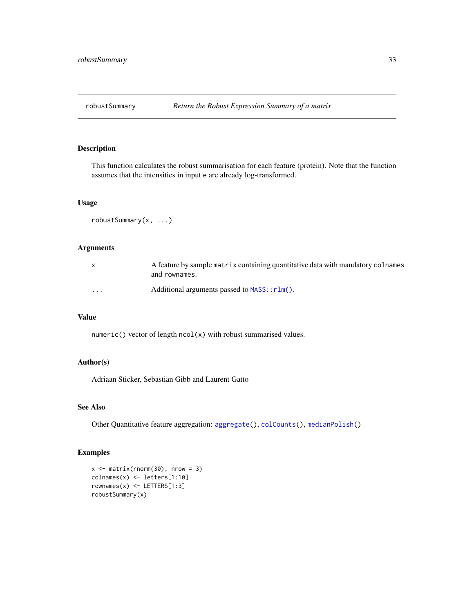<span id="page-32-1"></span><span id="page-32-0"></span>

This function calculates the robust summarisation for each feature (protein). Note that the function assumes that the intensities in input e are already log-transformed.

## Usage

```
robustSummary(x, ...)
```
## Arguments

|          | A feature by sample matrix containing quantitative data with mandatory colnames<br>and rownames. |
|----------|--------------------------------------------------------------------------------------------------|
| $\cdots$ | Additional arguments passed to $MASS: rlm()$ .                                                   |

## Value

numeric() vector of length ncol(x) with robust summarised values.

## Author(s)

Adriaan Sticker, Sebastian Gibb and Laurent Gatto

## See Also

Other Quantitative feature aggregation: [aggregate\(](#page-2-2)), [colCounts\(](#page-11-1)), [medianPolish\(](#page-24-1))

```
x \le matrix(rnorm(30), nrow = 3)
colnames(x) <- letters[1:10]
rownames(x) <- LETTERS[1:3]
robustSummary(x)
```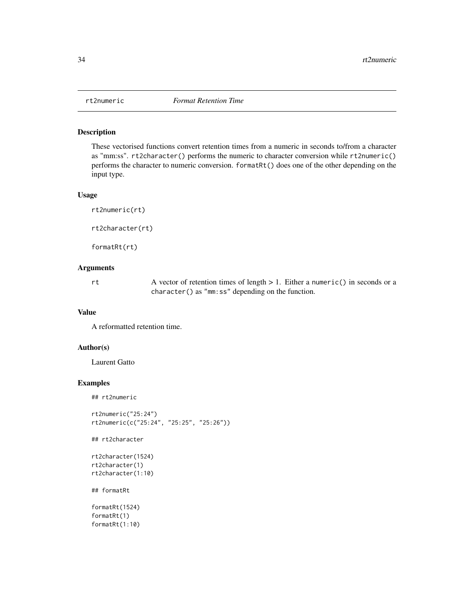<span id="page-33-0"></span>

These vectorised functions convert retention times from a numeric in seconds to/from a character as "mm:ss". rt2character() performs the numeric to character conversion while rt2numeric() performs the character to numeric conversion. formatRt() does one of the other depending on the input type.

#### Usage

```
rt2numeric(rt)
rt2character(rt)
formatRt(rt)
```
## Arguments

rt A vector of retention times of length > 1. Either a numeric() in seconds or a character() as "mm:ss" depending on the function.

## Value

A reformatted retention time.

#### Author(s)

Laurent Gatto

## Examples

```
## rt2numeric
```

```
rt2numeric("25:24")
rt2numeric(c("25:24", "25:25", "25:26"))
```
## rt2character

```
rt2character(1524)
rt2character(1)
rt2character(1:10)
```
## formatRt

formatRt(1524) formatRt(1) formatRt(1:10)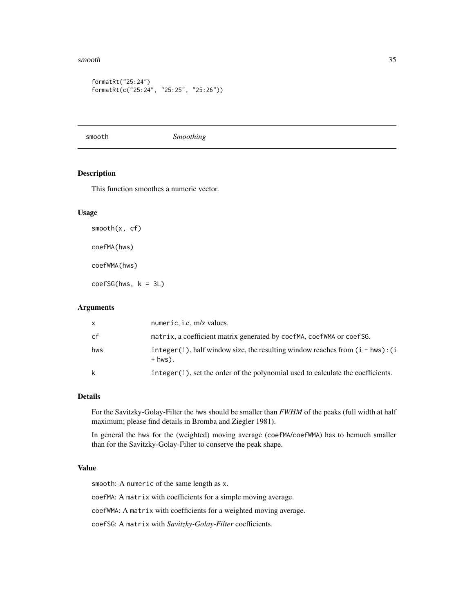#### <span id="page-34-0"></span>smooth 35

```
formatRt("25:24")
formatRt(c("25:24", "25:25", "25:26"))
```
<span id="page-34-1"></span>smooth *Smoothing*

#### Description

This function smoothes a numeric vector.

## Usage

smooth(x, cf)

coefMA(hws)

coefWMA(hws)

 $coeffSG(hws, k = 3L)$ 

## Arguments

| $\mathsf{X}$ | numeric, <i>i.e.</i> m/z values.                                                              |
|--------------|-----------------------------------------------------------------------------------------------|
| cf           | matrix, a coefficient matrix generated by coefMA, coefWMA or coefSG.                          |
| hws          | $integer(1)$ , half window size, the resulting window reaches from $(i - hws):(i)$<br>+ hws). |
| k            | integer (1), set the order of the polynomial used to calculate the coefficients.              |

## Details

For the Savitzky-Golay-Filter the hws should be smaller than *FWHM* of the peaks (full width at half maximum; please find details in Bromba and Ziegler 1981).

In general the hws for the (weighted) moving average (coefMA/coefWMA) has to bemuch smaller than for the Savitzky-Golay-Filter to conserve the peak shape.

#### Value

smooth: A numeric of the same length as x.

coefMA: A matrix with coefficients for a simple moving average.

coefWMA: A matrix with coefficients for a weighted moving average.

coefSG: A matrix with *Savitzky-Golay-Filter* coefficients.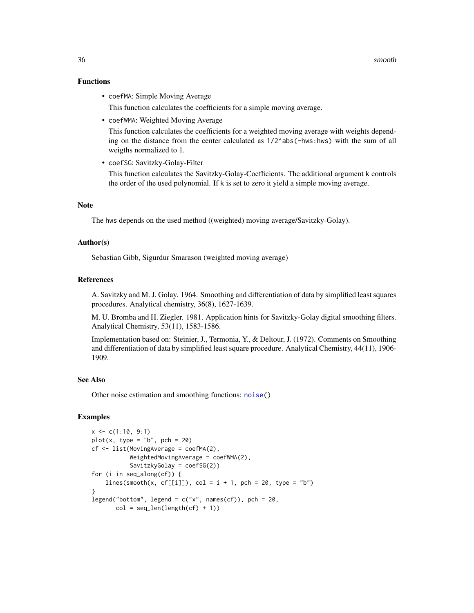## Functions

- coefMA: Simple Moving Average This function calculates the coefficients for a simple moving average.
- coefWMA: Weighted Moving Average

This function calculates the coefficients for a weighted moving average with weights depending on the distance from the center calculated as  $1/2^a$ abs(-hws:hws) with the sum of all weigths normalized to 1.

• coefSG: Savitzky-Golay-Filter

This function calculates the Savitzky-Golay-Coefficients. The additional argument k controls the order of the used polynomial. If k is set to zero it yield a simple moving average.

#### **Note**

The hws depends on the used method ((weighted) moving average/Savitzky-Golay).

#### Author(s)

Sebastian Gibb, Sigurdur Smarason (weighted moving average)

#### References

A. Savitzky and M. J. Golay. 1964. Smoothing and differentiation of data by simplified least squares procedures. Analytical chemistry, 36(8), 1627-1639.

M. U. Bromba and H. Ziegler. 1981. Application hints for Savitzky-Golay digital smoothing filters. Analytical Chemistry, 53(11), 1583-1586.

Implementation based on: Steinier, J., Termonia, Y., & Deltour, J. (1972). Comments on Smoothing and differentiation of data by simplified least square procedure. Analytical Chemistry, 44(11), 1906- 1909.

#### See Also

Other noise estimation and smoothing functions: [noise\(](#page-25-1))

```
x \leq c(1:10, 9:1)plot(x, type = "b", pch = 20)cf \le - list(MovingAverage = coefMA(2),
           WeightedMovingAverage = coefWMA(2),
           SavitzkyGolay = coefSG(2))
for (i in seq_along(cf)) {
    lines(smooth(x, cf[[i]]), col = i + 1, pch = 20, type = "b")}
legend("bottom", legend = c("x", \text{ names}(cf)), pch = 20,
       col = seq_length(cf) + 1)
```
<span id="page-35-0"></span>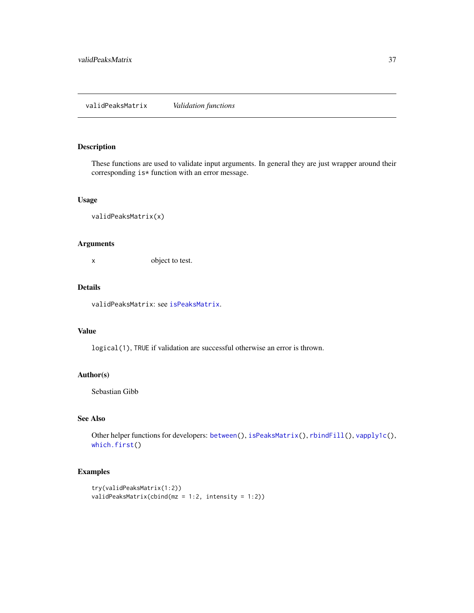#### <span id="page-36-1"></span><span id="page-36-0"></span>validPeaksMatrix *Validation functions*

## Description

These functions are used to validate input arguments. In general they are just wrapper around their corresponding is\* function with an error message.

#### Usage

```
validPeaksMatrix(x)
```
## Arguments

x object to test.

## Details

validPeaksMatrix: see [isPeaksMatrix](#page-22-1).

## Value

logical(1), TRUE if validation are successful otherwise an error is thrown.

## Author(s)

Sebastian Gibb

## See Also

Other helper functions for developers: [between\(](#page-4-1)), [isPeaksMatrix\(](#page-22-1)), [rbindFill\(](#page-28-1)), [vapply1c\(](#page-38-1)), [which.first\(](#page-39-1))

```
try(validPeaksMatrix(1:2))
validPeaksMatrix(cbind(mz = 1:2, intensity = 1:2))
```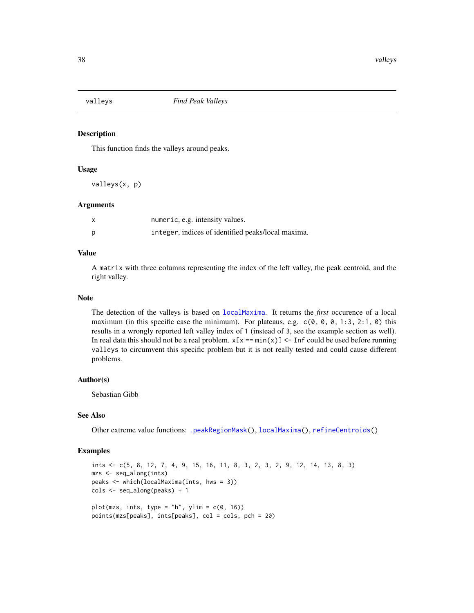<span id="page-37-1"></span><span id="page-37-0"></span>

This function finds the valleys around peaks.

#### Usage

valleys(x, p)

#### Arguments

| numeric, e.g. intensity values.                    |
|----------------------------------------------------|
| integer, indices of identified peaks/local maxima. |

#### Value

A matrix with three columns representing the index of the left valley, the peak centroid, and the right valley.

#### Note

The detection of the valleys is based on [localMaxima](#page-23-1). It returns the *first* occurence of a local maximum (in this specific case the minimum). For plateaus, e.g.  $c(0, 0, 0, 1:3, 2:1, 0)$  this results in a wrongly reported left valley index of 1 (instead of 3, see the example section as well). In real data this should not be a real problem.  $x[x == min(x)] < -1$  inf could be used before running valleys to circumvent this specific problem but it is not really tested and could cause different problems.

#### Author(s)

Sebastian Gibb

## See Also

Other extreme value functions: [.peakRegionMask\(](#page-0-0)), [localMaxima\(](#page-23-1)), [refineCentroids\(](#page-29-1))

```
ints <- c(5, 8, 12, 7, 4, 9, 15, 16, 11, 8, 3, 2, 3, 2, 9, 12, 14, 13, 8, 3)
mzs <- seq_along(ints)
peaks <- which(localMaxima(ints, hws = 3))
cols <- seq_along(peaks) + 1
plot(mzs, ints, type = "h", ylim = c(\theta, 16))
points(mzs[peaks], ints[peaks], col = cols, pch = 20)
```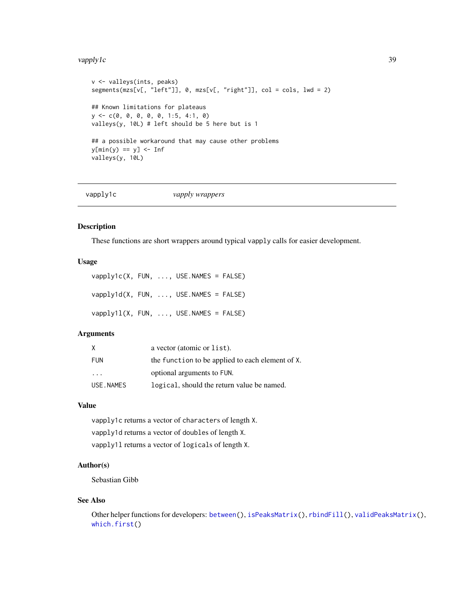#### <span id="page-38-0"></span>vapply 1c 39

```
v <- valleys(ints, peaks)
segments(mzs[v[, "left"]], 0, mzs[v[, "right"]], col = cols, lwd = 2)
## Known limitations for plateaus
y <- c(0, 0, 0, 0, 0, 1:5, 4:1, 0)
valleys(y, 10L) # left should be 5 here but is 1
## a possible workaround that may cause other problems
y[\min(y) == y] \leq \infvalleys(y, 10L)
```
<span id="page-38-1"></span>

vapply1c *vapply wrappers*

#### Description

These functions are short wrappers around typical vapply calls for easier development.

#### Usage

vapply1c(X, FUN, ..., USE.NAMES = FALSE) vapply1d(X, FUN, ..., USE.NAMES = FALSE) vapply1l(X, FUN, ..., USE.NAMES = FALSE)

## Arguments

| Χ                       | a vector (atomic or list).                       |
|-------------------------|--------------------------------------------------|
| <b>FUN</b>              | the function to be applied to each element of X. |
| $\cdot$ $\cdot$ $\cdot$ | optional arguments to FUN.                       |
| USE, NAMES              | logical, should the return value be named.       |

## Value

vapply1c returns a vector of characters of length X. vapply1d returns a vector of doubles of length X. vapply1l returns a vector of logicals of length X.

#### Author(s)

Sebastian Gibb

#### See Also

Other helper functions for developers: [between\(](#page-4-1)), [isPeaksMatrix\(](#page-22-1)), [rbindFill\(](#page-28-1)), [validPeaksMatrix\(](#page-36-1)), [which.first\(](#page-39-1))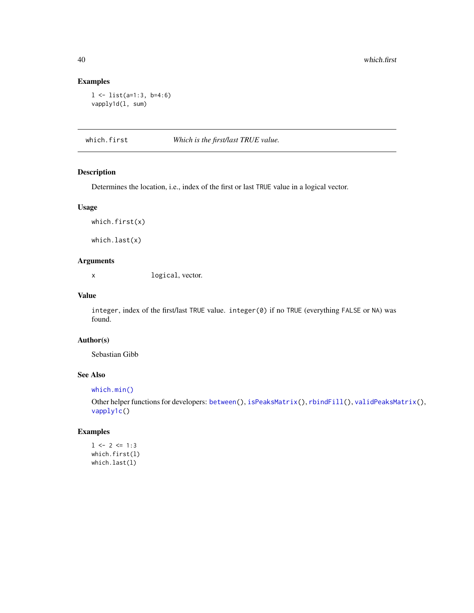## Examples

```
l <- list(a=1:3, b=4:6)
vapply1d(l, sum)
```
<span id="page-39-1"></span>which.first *Which is the first/last TRUE value.*

## Description

Determines the location, i.e., index of the first or last TRUE value in a logical vector.

#### Usage

```
which.first(x)
```
which.last(x)

## Arguments

x logical, vector.

#### Value

integer, index of the first/last TRUE value. integer(0) if no TRUE (everything FALSE or NA) was found.

## Author(s)

Sebastian Gibb

## See Also

[which.min\(\)](#page-0-0)

Other helper functions for developers: [between\(](#page-4-1)), [isPeaksMatrix\(](#page-22-1)), [rbindFill\(](#page-28-1)), [validPeaksMatrix\(](#page-36-1)), [vapply1c\(](#page-38-1))

```
1 \leftarrow 2 \leftarrow 1:3which.first(l)
which.last(l)
```
<span id="page-39-0"></span>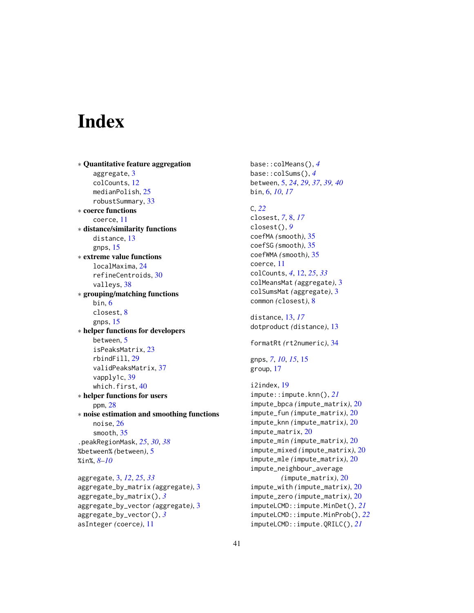# <span id="page-40-0"></span>**Index**

∗ Quantitative feature aggregation aggregate, [3](#page-2-0) colCounts, [12](#page-11-0) medianPolish, [25](#page-24-0) robustSummary, [33](#page-32-0) ∗ coerce functions coerce, [11](#page-10-0) ∗ distance/similarity functions distance, [13](#page-12-0) gnps, [15](#page-14-0) ∗ extreme value functions localMaxima, [24](#page-23-0) refineCentroids, [30](#page-29-0) valleys, [38](#page-37-0) ∗ grouping/matching functions bin, [6](#page-5-0) closest, [8](#page-7-0) gnps, [15](#page-14-0) ∗ helper functions for developers between, [5](#page-4-0) isPeaksMatrix, [23](#page-22-0) rbindFill, [29](#page-28-0) validPeaksMatrix, [37](#page-36-0) vapply1c, [39](#page-38-0) which.first, [40](#page-39-0) ∗ helper functions for users ppm, [28](#page-27-0) ∗ noise estimation and smoothing functions noise, [26](#page-25-0) smooth, [35](#page-34-0) .peakRegionMask, *[25](#page-24-0)*, *[30](#page-29-0)*, *[38](#page-37-0)* %between% *(*between*)*, [5](#page-4-0) %in%, *[8](#page-7-0)[–10](#page-9-0)*

aggregate, [3,](#page-2-0) *[12](#page-11-0)*, *[25](#page-24-0)*, *[33](#page-32-0)* aggregate\_by\_matrix *(*aggregate*)*, [3](#page-2-0) aggregate\_by\_matrix(), *[3](#page-2-0)* aggregate\_by\_vector *(*aggregate*)*, [3](#page-2-0) aggregate\_by\_vector(), *[3](#page-2-0)* asInteger *(*coerce*)*, [11](#page-10-0)

base::colMeans(), *[4](#page-3-0)* base::colSums(), *[4](#page-3-0)* between, [5,](#page-4-0) *[24](#page-23-0)*, *[29](#page-28-0)*, *[37](#page-36-0)*, *[39,](#page-38-0) [40](#page-39-0)* bin, [6,](#page-5-0) *[10](#page-9-0)*, *[17](#page-16-0)* C, *[22](#page-21-0)* closest, *[7](#page-6-0)*, [8,](#page-7-0) *[17](#page-16-0)* closest(), *[9](#page-8-0)* coefMA *(*smooth*)*, [35](#page-34-0) coefSG *(*smooth*)*, [35](#page-34-0) coefWMA *(*smooth*)*, [35](#page-34-0) coerce, [11](#page-10-0) colCounts, *[4](#page-3-0)*, [12,](#page-11-0) *[25](#page-24-0)*, *[33](#page-32-0)* colMeansMat *(*aggregate*)*, [3](#page-2-0) colSumsMat *(*aggregate*)*, [3](#page-2-0) common *(*closest*)*, [8](#page-7-0) distance, [13,](#page-12-0) *[17](#page-16-0)* dotproduct *(*distance*)*, [13](#page-12-0) formatRt *(*rt2numeric*)*, [34](#page-33-0) gnps, *[7](#page-6-0)*, *[10](#page-9-0)*, *[15](#page-14-0)*, [15](#page-14-0) group, [17](#page-16-0) i2index, [19](#page-18-0) impute::impute.knn(), *[21](#page-20-0)* impute\_bpca *(*impute\_matrix*)*, [20](#page-19-0) impute\_fun *(*impute\_matrix*)*, [20](#page-19-0) impute\_knn *(*impute\_matrix*)*, [20](#page-19-0) impute\_matrix, [20](#page-19-0) impute\_min *(*impute\_matrix*)*, [20](#page-19-0) impute\_mixed *(*impute\_matrix*)*, [20](#page-19-0) impute\_mle *(*impute\_matrix*)*, [20](#page-19-0)

impute\_neighbour\_average *(*impute\_matrix*)*, [20](#page-19-0) impute\_with *(*impute\_matrix*)*, [20](#page-19-0) impute\_zero *(*impute\_matrix*)*, [20](#page-19-0) imputeLCMD::impute.MinDet(), *[21](#page-20-0)* imputeLCMD::impute.MinProb(), *[22](#page-21-0)* imputeLCMD::impute.QRILC(), *[21](#page-20-0)*